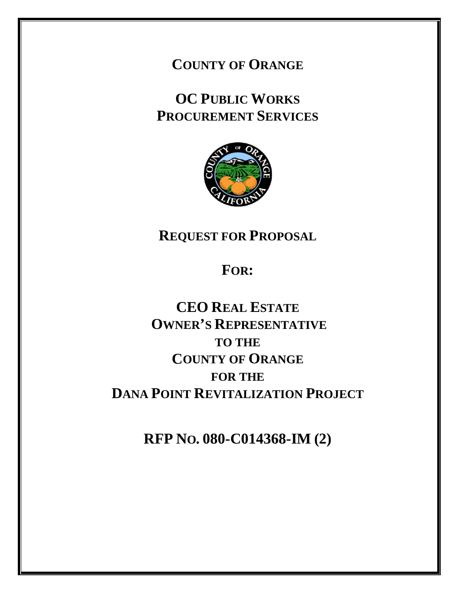**COUNTY OF ORANGE**

**OC PUBLIC WORKS PROCUREMENT SERVICES**



**REQUEST FOR PROPOSAL**

**FOR:**

**CEO REAL ESTATE OWNER'S REPRESENTATIVE TO THE COUNTY OF ORANGE FOR THE DANA POINT REVITALIZATION PROJECT**

**RFP NO. 080-C014368-IM (2)**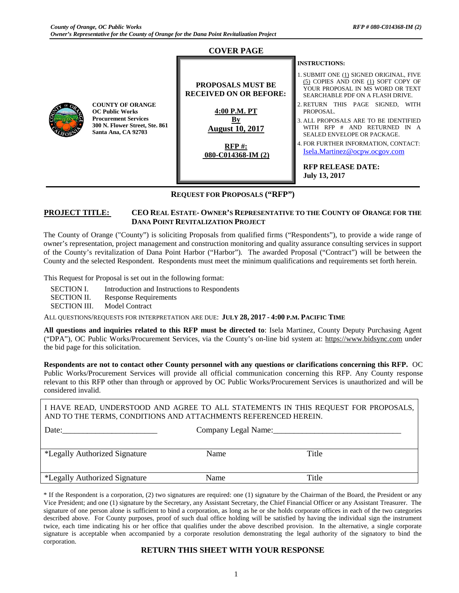#### **COVER PAGE COUNTY OF ORANGE OC Public Works Procurement Services 300 N. Flower Street, Ste. 861 Santa Ana, CA 92703 PROPOSALS MUST BE RECEIVED ON OR BEFORE: 4:00 P.M. PT By August 10, 2017 RFP #: 080-C014368-IM (2) INSTRUCTIONS:** 1. SUBMIT ONE (1) SIGNED ORIGINAL, FIVE (5) COPIES AND ONE (1) SOFT COPY OF YOUR PROPOSAL IN MS WORD OR TEXT SEARCHABLE PDF ON A FLASH DRIVE. 2. RETURN THIS PAGE SIGNED, WITH PROPOSAL. 3. ALL PROPOSALS ARE TO BE IDENTIFIED WITH RFP # AND RETURNED IN A SEALED ENVELOPE OR PACKAGE. 4. FOR FURTHER INFORMATION, CONTACT: [Isela.Martinez@ocpw.ocgov.com](mailto:Angela.Shim@ocpw.ocgov.com) **RFP RELEASE DATE: July 13, 2017**

#### **REQUEST FOR PROPOSALS ("RFP")**

#### **PROJECT TITLE: CEO REAL ESTATE- OWNER'S REPRESENTATIVE TO THE COUNTY OF ORANGE FOR THE DANA POINT REVITALIZATION PROJECT**

The County of Orange ("County") is soliciting Proposals from qualified firms ("Respondents"), to provide a wide range of owner's representation, project management and construction monitoring and quality assurance consulting services in support of the County's revitalization of Dana Point Harbor ("Harbor")*.* The awarded Proposal ("Contract") will be between the County and the selected Respondent. Respondents must meet the minimum qualifications and requirements set forth herein.

This Request for Proposal is set out in the following format:

| SECTION I.          | Introduction and Instructions to Respondents |
|---------------------|----------------------------------------------|
| <b>SECTION II.</b>  | Response Requirements                        |
| <b>SECTION III.</b> | Model Contract                               |

ALL QUESTIONS/REQUESTS FOR INTERPRETATION ARE DUE: **JULY 28, 2017 - 4:00 P.M. PACIFIC TIME**

**All questions and inquiries related to this RFP must be directed to**: Isela Martinez, County Deputy Purchasing Agent ("DPA"), OC Public Works/Procurement Services, via the County's on-line bid system at: [https://www.bidsync.com](https://www.bidsync.com/) under the bid page for this solicitation.

**Respondents are not to contact other County personnel with any questions or clarifications concerning this RFP.** OC Public Works/Procurement Services will provide all official communication concerning this RFP. Any County response relevant to this RFP other than through or approved by OC Public Works/Procurement Services is unauthorized and will be considered invalid.

I HAVE READ, UNDERSTOOD AND AGREE TO ALL STATEMENTS IN THIS REQUEST FOR PROPOSALS, AND TO THE TERMS, CONDITIONS AND ATTACHMENTS REFERENCED HEREIN. Date:\_\_\_\_\_\_\_\_\_\_\_\_\_\_\_\_\_\_\_\_\_\_\_ Company Legal Name:\_\_\_\_\_\_\_\_\_\_\_\_\_\_\_\_\_\_\_\_\_\_\_\_\_\_\_\_\_\_\_

| *Legally Authorized Signature | Name | Title |
|-------------------------------|------|-------|
|                               |      |       |
| *Legally Authorized Signature | Name | Title |

\* If the Respondent is a corporation, (2) two signatures are required: one (1) signature by the Chairman of the Board, the President or any Vice President; and one (1) signature by the Secretary, any Assistant Secretary, the Chief Financial Officer or any Assistant Treasurer. The signature of one person alone is sufficient to bind a corporation, as long as he or she holds corporate offices in each of the two categories described above. For County purposes, proof of such dual office holding will be satisfied by having the individual sign the instrument twice, each time indicating his or her office that qualifies under the above described provision. In the alternative, a single corporate signature is acceptable when accompanied by a corporate resolution demonstrating the legal authority of the signatory to bind the corporation.

#### **RETURN THIS SHEET WITH YOUR RESPONSE**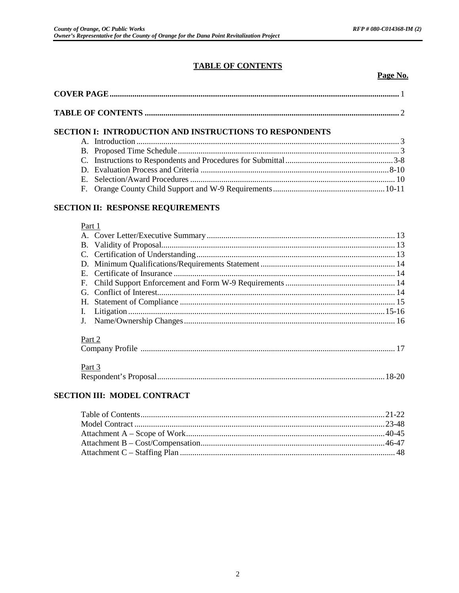# **TABLE OF CONTENTS**

Page No.

| <b>SECTION I: INTRODUCTION AND INSTRUCTIONS TO RESPONDENTS</b>                                                                                                                                                                                                                                                                    |  |
|-----------------------------------------------------------------------------------------------------------------------------------------------------------------------------------------------------------------------------------------------------------------------------------------------------------------------------------|--|
| A. Introduction $\ldots$ $\ldots$ $\ldots$ $\ldots$ $\ldots$ $\ldots$ $\ldots$ $\ldots$ $\ldots$ $\ldots$ $\ldots$ $\ldots$ $\ldots$ $\ldots$ $\ldots$ $\ldots$ $\ldots$ $\ldots$ $\ldots$ $\ldots$ $\ldots$ $\ldots$ $\ldots$ $\ldots$ $\ldots$ $\ldots$ $\ldots$ $\ldots$ $\ldots$ $\ldots$ $\ldots$ $\ldots$ $\ldots$ $\ldots$ |  |
|                                                                                                                                                                                                                                                                                                                                   |  |
|                                                                                                                                                                                                                                                                                                                                   |  |
|                                                                                                                                                                                                                                                                                                                                   |  |
|                                                                                                                                                                                                                                                                                                                                   |  |
|                                                                                                                                                                                                                                                                                                                                   |  |

# SECTION II: RESPONSE REQUIREMENTS

#### Part 1

| Part 2 |  |
|--------|--|
|        |  |

#### $\mathbf{D}$  $\overline{a}$

| Part 3 |  |
|--------|--|
|        |  |

# SECTION III: MODEL CONTRACT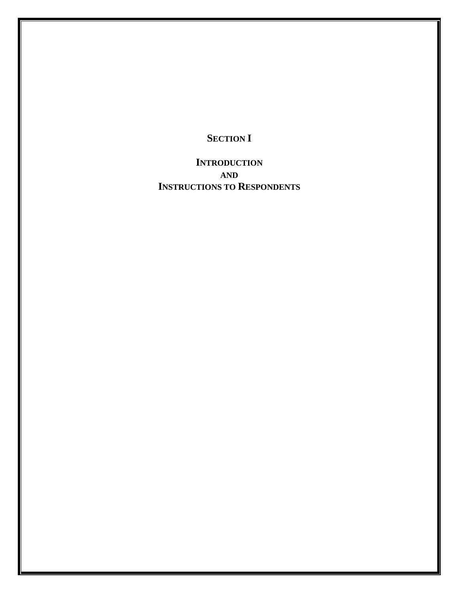# **SECTION I**

**INTRODUCTION AND INSTRUCTIONS TO RESPONDENTS**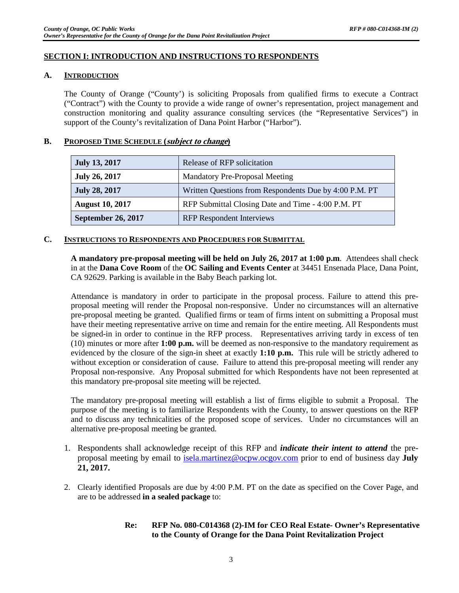#### **SECTION I: INTRODUCTION AND INSTRUCTIONS TO RESPONDENTS**

#### **A. INTRODUCTION**

The County of Orange ("County') is soliciting Proposals from qualified firms to execute a Contract ("Contract") with the County to provide a wide range of owner's representation, project management and construction monitoring and quality assurance consulting services (the "Representative Services") in support of the County's revitalization of Dana Point Harbor ("Harbor").

#### **B. PROPOSED TIME SCHEDULE (subject to change)**

| <b>July 13, 2017</b>      | Release of RFP solicitation                            |
|---------------------------|--------------------------------------------------------|
| <b>July 26, 2017</b>      | <b>Mandatory Pre-Proposal Meeting</b>                  |
| <b>July 28, 2017</b>      | Written Questions from Respondents Due by 4:00 P.M. PT |
| <b>August 10, 2017</b>    | RFP Submittal Closing Date and Time - 4:00 P.M. PT     |
| <b>September 26, 2017</b> | <b>RFP</b> Respondent Interviews                       |

#### **C. INSTRUCTIONS TO RESPONDENTS AND PROCEDURES FOR SUBMITTAL**

**A mandatory pre-proposal meeting will be held on July 26, 2017 at 1:00 p.m**. Attendees shall check in at the **Dana Cove Room** of the **OC Sailing and Events Center** at 34451 Ensenada Place, Dana Point, CA 92629. Parking is available in the Baby Beach parking lot.

Attendance is mandatory in order to participate in the proposal process. Failure to attend this preproposal meeting will render the Proposal non-responsive. Under no circumstances will an alternative pre-proposal meeting be granted. Qualified firms or team of firms intent on submitting a Proposal must have their meeting representative arrive on time and remain for the entire meeting. All Respondents must be signed-in in order to continue in the RFP process. Representatives arriving tardy in excess of ten (10) minutes or more after **1:00 p.m.** will be deemed as non-responsive to the mandatory requirement as evidenced by the closure of the sign-in sheet at exactly **1:10 p.m.** This rule will be strictly adhered to without exception or consideration of cause. Failure to attend this pre-proposal meeting will render any Proposal non-responsive. Any Proposal submitted for which Respondents have not been represented at this mandatory pre-proposal site meeting will be rejected.

The mandatory pre-proposal meeting will establish a list of firms eligible to submit a Proposal. The purpose of the meeting is to familiarize Respondents with the County, to answer questions on the RFP and to discuss any technicalities of the proposed scope of services. Under no circumstances will an alternative pre-proposal meeting be granted.

- 1. Respondents shall acknowledge receipt of this RFP and *indicate their intent to attend* the preproposal meeting by email to [isela.martinez@ocpw.ocgov.com](mailto:isela.martinez@ocpw.ocgov.com) prior to end of business day **July 21, 2017.**
- 2. Clearly identified Proposals are due by 4:00 P.M. PT on the date as specified on the Cover Page, and are to be addressed **in a sealed package** to:
	- **Re: RFP No. 080-C014368 (2)-IM for CEO Real Estate- Owner's Representative to the County of Orange for the Dana Point Revitalization Project**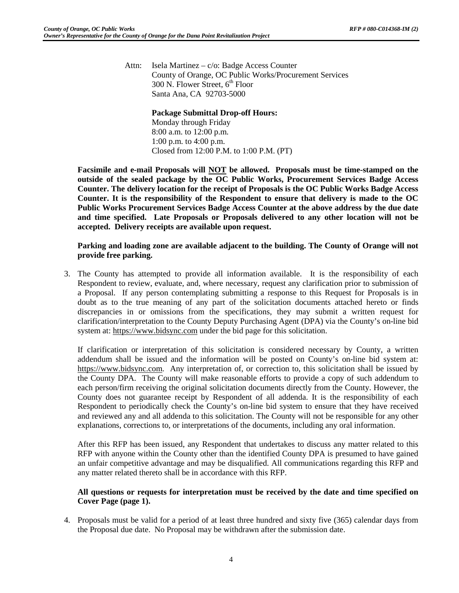Attn: Isela Martinez – c/o: Badge Access Counter County of Orange, OC Public Works/Procurement Services  $300$  N. Flower Street,  $6<sup>th</sup>$  Floor Santa Ana, CA 92703-5000

# **Package Submittal Drop-off Hours:**

Monday through Friday 8:00 a.m. to 12:00 p.m. 1:00 p.m. to 4:00 p.m. Closed from 12:00 P.M. to 1:00 P.M. (PT)

**Facsimile and e-mail Proposals will NOT be allowed. Proposals must be time-stamped on the outside of the sealed package by the OC Public Works, Procurement Services Badge Access Counter. The delivery location for the receipt of Proposals is the OC Public Works Badge Access Counter. It is the responsibility of the Respondent to ensure that delivery is made to the OC Public Works Procurement Services Badge Access Counter at the above address by the due date and time specified. Late Proposals or Proposals delivered to any other location will not be accepted. Delivery receipts are available upon request.**

# **Parking and loading zone are available adjacent to the building. The County of Orange will not provide free parking.**

3. The County has attempted to provide all information available. It is the responsibility of each Respondent to review, evaluate, and, where necessary, request any clarification prior to submission of a Proposal. If any person contemplating submitting a response to this Request for Proposals is in doubt as to the true meaning of any part of the solicitation documents attached hereto or finds discrepancies in or omissions from the specifications, they may submit a written request for clarification/interpretation to the County Deputy Purchasing Agent (DPA) via the County's on-line bid system at: [https://www.bidsync.com](https://www.bidsync.com/) under the bid page for this solicitation.

If clarification or interpretation of this solicitation is considered necessary by County, a written addendum shall be issued and the information will be posted on County's on-line bid system at: [https://www.bidsync.com.](https://www.bidsync.com/) Any interpretation of, or correction to, this solicitation shall be issued by the County DPA. The County will make reasonable efforts to provide a copy of such addendum to each person/firm receiving the original solicitation documents directly from the County. However, the County does not guarantee receipt by Respondent of all addenda. It is the responsibility of each Respondent to periodically check the County's on-line bid system to ensure that they have received and reviewed any and all addenda to this solicitation. The County will not be responsible for any other explanations, corrections to, or interpretations of the documents, including any oral information.

After this RFP has been issued, any Respondent that undertakes to discuss any matter related to this RFP with anyone within the County other than the identified County DPA is presumed to have gained an unfair competitive advantage and may be disqualified. All communications regarding this RFP and any matter related thereto shall be in accordance with this RFP.

# **All questions or requests for interpretation must be received by the date and time specified on Cover Page (page 1).**

4. Proposals must be valid for a period of at least three hundred and sixty five (365) calendar days from the Proposal due date. No Proposal may be withdrawn after the submission date.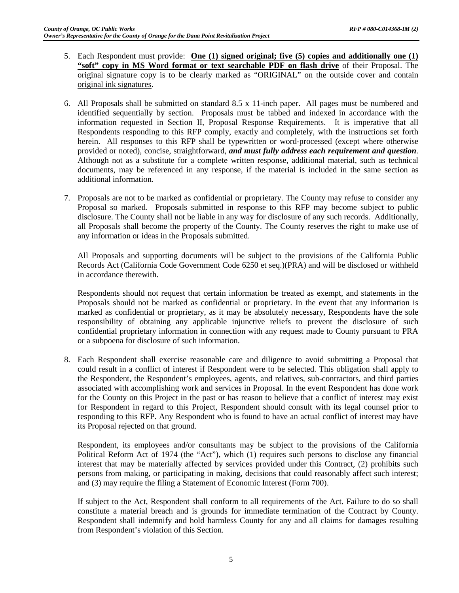- 5. Each Respondent must provide: **One (1) signed original; five (5) copies and additionally one (1) "soft" copy in MS Word format or text searchable PDF on flash drive** of their Proposal. The original signature copy is to be clearly marked as "ORIGINAL" on the outside cover and contain original ink signatures.
- 6. All Proposals shall be submitted on standard 8.5 x 11-inch paper. All pages must be numbered and identified sequentially by section. Proposals must be tabbed and indexed in accordance with the information requested in Section II, Proposal Response Requirements. It is imperative that all Respondents responding to this RFP comply, exactly and completely, with the instructions set forth herein. All responses to this RFP shall be typewritten or word-processed (except where otherwise provided or noted), concise, straightforward, *and must fully address each requirement and question*. Although not as a substitute for a complete written response, additional material, such as technical documents, may be referenced in any response, if the material is included in the same section as additional information.
- 7. Proposals are not to be marked as confidential or proprietary. The County may refuse to consider any Proposal so marked. Proposals submitted in response to this RFP may become subject to public disclosure. The County shall not be liable in any way for disclosure of any such records. Additionally, all Proposals shall become the property of the County. The County reserves the right to make use of any information or ideas in the Proposals submitted.

All Proposals and supporting documents will be subject to the provisions of the California Public Records Act (California Code Government Code 6250 et seq.)(PRA) and will be disclosed or withheld in accordance therewith.

Respondents should not request that certain information be treated as exempt, and statements in the Proposals should not be marked as confidential or proprietary. In the event that any information is marked as confidential or proprietary, as it may be absolutely necessary, Respondents have the sole responsibility of obtaining any applicable injunctive reliefs to prevent the disclosure of such confidential proprietary information in connection with any request made to County pursuant to PRA or a subpoena for disclosure of such information.

8. Each Respondent shall exercise reasonable care and diligence to avoid submitting a Proposal that could result in a conflict of interest if Respondent were to be selected. This obligation shall apply to the Respondent, the Respondent's employees, agents, and relatives, sub-contractors, and third parties associated with accomplishing work and services in Proposal. In the event Respondent has done work for the County on this Project in the past or has reason to believe that a conflict of interest may exist for Respondent in regard to this Project, Respondent should consult with its legal counsel prior to responding to this RFP. Any Respondent who is found to have an actual conflict of interest may have its Proposal rejected on that ground.

Respondent, its employees and/or consultants may be subject to the provisions of the California Political Reform Act of 1974 (the "Act"), which (1) requires such persons to disclose any financial interest that may be materially affected by services provided under this Contract, (2) prohibits such persons from making, or participating in making, decisions that could reasonably affect such interest; and (3) may require the filing a Statement of Economic Interest (Form 700).

If subject to the Act, Respondent shall conform to all requirements of the Act. Failure to do so shall constitute a material breach and is grounds for immediate termination of the Contract by County. Respondent shall indemnify and hold harmless County for any and all claims for damages resulting from Respondent's violation of this Section.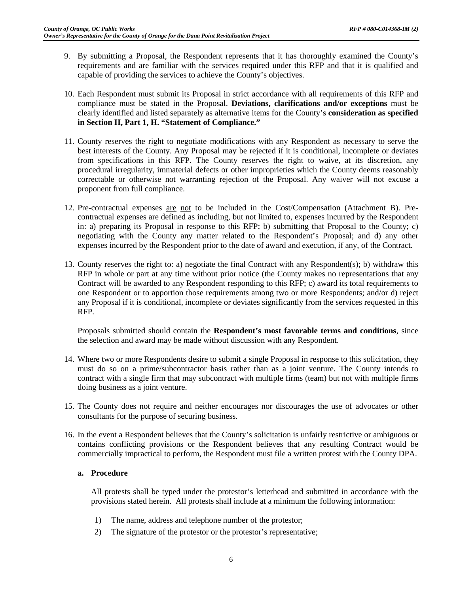- 9. By submitting a Proposal, the Respondent represents that it has thoroughly examined the County's requirements and are familiar with the services required under this RFP and that it is qualified and capable of providing the services to achieve the County's objectives.
- 10. Each Respondent must submit its Proposal in strict accordance with all requirements of this RFP and compliance must be stated in the Proposal. **Deviations, clarifications and/or exceptions** must be clearly identified and listed separately as alternative items for the County's **consideration as specified in Section II, Part 1, H. "Statement of Compliance."**
- 11. County reserves the right to negotiate modifications with any Respondent as necessary to serve the best interests of the County. Any Proposal may be rejected if it is conditional, incomplete or deviates from specifications in this RFP. The County reserves the right to waive, at its discretion, any procedural irregularity, immaterial defects or other improprieties which the County deems reasonably correctable or otherwise not warranting rejection of the Proposal. Any waiver will not excuse a proponent from full compliance.
- 12. Pre-contractual expenses are not to be included in the Cost/Compensation (Attachment B). Precontractual expenses are defined as including, but not limited to, expenses incurred by the Respondent in: a) preparing its Proposal in response to this RFP; b) submitting that Proposal to the County; c) negotiating with the County any matter related to the Respondent's Proposal; and d) any other expenses incurred by the Respondent prior to the date of award and execution, if any, of the Contract.
- 13. County reserves the right to: a) negotiate the final Contract with any Respondent(s); b) withdraw this RFP in whole or part at any time without prior notice (the County makes no representations that any Contract will be awarded to any Respondent responding to this RFP; c) award its total requirements to one Respondent or to apportion those requirements among two or more Respondents; and/or d) reject any Proposal if it is conditional, incomplete or deviates significantly from the services requested in this RFP.

Proposals submitted should contain the **Respondent's most favorable terms and conditions**, since the selection and award may be made without discussion with any Respondent.

- 14. Where two or more Respondents desire to submit a single Proposal in response to this solicitation, they must do so on a prime/subcontractor basis rather than as a joint venture. The County intends to contract with a single firm that may subcontract with multiple firms (team) but not with multiple firms doing business as a joint venture.
- 15. The County does not require and neither encourages nor discourages the use of advocates or other consultants for the purpose of securing business.
- 16. In the event a Respondent believes that the County's solicitation is unfairly restrictive or ambiguous or contains conflicting provisions or the Respondent believes that any resulting Contract would be commercially impractical to perform, the Respondent must file a written protest with the County DPA.

#### **a. Procedure**

All protests shall be typed under the protestor's letterhead and submitted in accordance with the provisions stated herein. All protests shall include at a minimum the following information:

- 1) The name, address and telephone number of the protestor;
- 2) The signature of the protestor or the protestor's representative;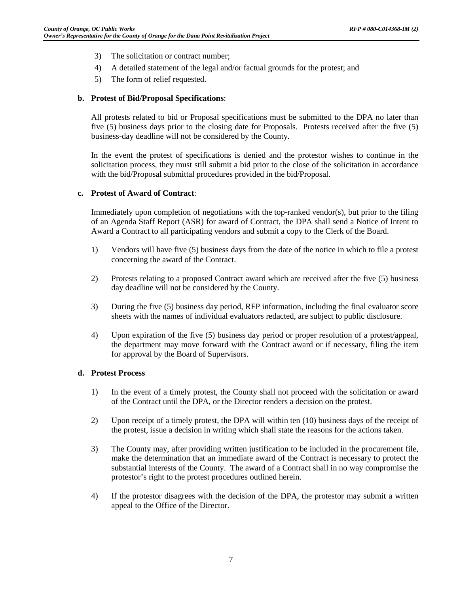- 3) The solicitation or contract number;
- 4) A detailed statement of the legal and/or factual grounds for the protest; and
- 5) The form of relief requested.

#### **b. Protest of Bid/Proposal Specifications**:

All protests related to bid or Proposal specifications must be submitted to the DPA no later than five (5) business days prior to the closing date for Proposals. Protests received after the five (5) business-day deadline will not be considered by the County.

In the event the protest of specifications is denied and the protestor wishes to continue in the solicitation process, they must still submit a bid prior to the close of the solicitation in accordance with the bid/Proposal submittal procedures provided in the bid/Proposal.

#### **c. Protest of Award of Contract**:

Immediately upon completion of negotiations with the top-ranked vendor(s), but prior to the filing of an Agenda Staff Report (ASR) for award of Contract, the DPA shall send a Notice of Intent to Award a Contract to all participating vendors and submit a copy to the Clerk of the Board.

- 1) Vendors will have five (5) business days from the date of the notice in which to file a protest concerning the award of the Contract.
- 2) Protests relating to a proposed Contract award which are received after the five (5) business day deadline will not be considered by the County.
- 3) During the five (5) business day period, RFP information, including the final evaluator score sheets with the names of individual evaluators redacted, are subject to public disclosure.
- 4) Upon expiration of the five (5) business day period or proper resolution of a protest/appeal, the department may move forward with the Contract award or if necessary, filing the item for approval by the Board of Supervisors.

#### **d. Protest Process**

- 1) In the event of a timely protest, the County shall not proceed with the solicitation or award of the Contract until the DPA, or the Director renders a decision on the protest.
- 2) Upon receipt of a timely protest, the DPA will within ten (10) business days of the receipt of the protest, issue a decision in writing which shall state the reasons for the actions taken.
- 3) The County may, after providing written justification to be included in the procurement file, make the determination that an immediate award of the Contract is necessary to protect the substantial interests of the County. The award of a Contract shall in no way compromise the protestor's right to the protest procedures outlined herein.
- 4) If the protestor disagrees with the decision of the DPA, the protestor may submit a written appeal to the Office of the Director.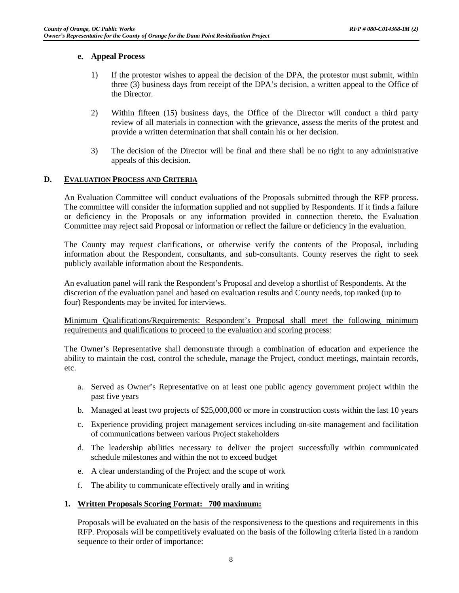#### **e. Appeal Process**

- 1) If the protestor wishes to appeal the decision of the DPA, the protestor must submit, within three (3) business days from receipt of the DPA's decision, a written appeal to the Office of the Director.
- 2) Within fifteen (15) business days, the Office of the Director will conduct a third party review of all materials in connection with the grievance, assess the merits of the protest and provide a written determination that shall contain his or her decision.
- 3) The decision of the Director will be final and there shall be no right to any administrative appeals of this decision.

# **D. EVALUATION PROCESS AND CRITERIA**

An Evaluation Committee will conduct evaluations of the Proposals submitted through the RFP process. The committee will consider the information supplied and not supplied by Respondents. If it finds a failure or deficiency in the Proposals or any information provided in connection thereto, the Evaluation Committee may reject said Proposal or information or reflect the failure or deficiency in the evaluation.

The County may request clarifications, or otherwise verify the contents of the Proposal, including information about the Respondent, consultants, and sub-consultants. County reserves the right to seek publicly available information about the Respondents.

An evaluation panel will rank the Respondent's Proposal and develop a shortlist of Respondents. At the discretion of the evaluation panel and based on evaluation results and County needs, top ranked (up to four) Respondents may be invited for interviews.

Minimum Qualifications/Requirements: Respondent's Proposal shall meet the following minimum requirements and qualifications to proceed to the evaluation and scoring process:

The Owner's Representative shall demonstrate through a combination of education and experience the ability to maintain the cost, control the schedule, manage the Project, conduct meetings, maintain records, etc.

- a. Served as Owner's Representative on at least one public agency government project within the past five years
- b. Managed at least two projects of \$25,000,000 or more in construction costs within the last 10 years
- c. Experience providing project management services including on-site management and facilitation of communications between various Project stakeholders
- d. The leadership abilities necessary to deliver the project successfully within communicated schedule milestones and within the not to exceed budget
- e. A clear understanding of the Project and the scope of work
- f. The ability to communicate effectively orally and in writing

#### **1. Written Proposals Scoring Format: 700 maximum:**

Proposals will be evaluated on the basis of the responsiveness to the questions and requirements in this RFP. Proposals will be competitively evaluated on the basis of the following criteria listed in a random sequence to their order of importance: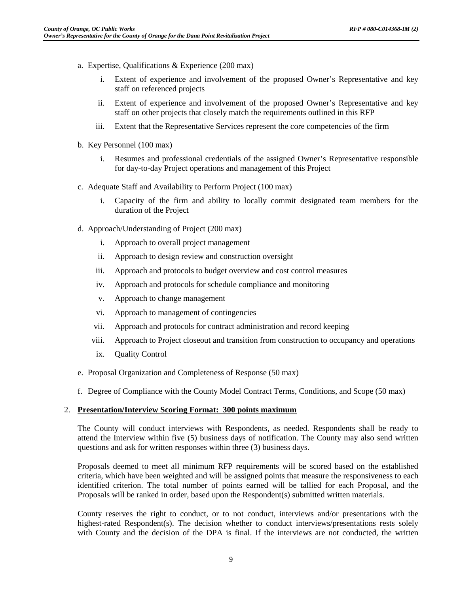- a. Expertise, Qualifications & Experience (200 max)
	- i. Extent of experience and involvement of the proposed Owner's Representative and key staff on referenced projects
	- ii. Extent of experience and involvement of the proposed Owner's Representative and key staff on other projects that closely match the requirements outlined in this RFP
	- iii. Extent that the Representative Services represent the core competencies of the firm
- b. Key Personnel (100 max)
	- i. Resumes and professional credentials of the assigned Owner's Representative responsible for day-to-day Project operations and management of this Project
- c. Adequate Staff and Availability to Perform Project (100 max)
	- i. Capacity of the firm and ability to locally commit designated team members for the duration of the Project
- d. Approach/Understanding of Project (200 max)
	- i. Approach to overall project management
	- ii. Approach to design review and construction oversight
	- iii. Approach and protocols to budget overview and cost control measures
	- iv. Approach and protocols for schedule compliance and monitoring
	- v. Approach to change management
	- vi. Approach to management of contingencies
	- vii. Approach and protocols for contract administration and record keeping
	- viii. Approach to Project closeout and transition from construction to occupancy and operations
	- ix. Quality Control
- e. Proposal Organization and Completeness of Response (50 max)
- f. Degree of Compliance with the County Model Contract Terms, Conditions, and Scope (50 max)

#### 2. **Presentation/Interview Scoring Format: 300 points maximum**

The County will conduct interviews with Respondents, as needed. Respondents shall be ready to attend the Interview within five (5) business days of notification. The County may also send written questions and ask for written responses within three (3) business days.

Proposals deemed to meet all minimum RFP requirements will be scored based on the established criteria, which have been weighted and will be assigned points that measure the responsiveness to each identified criterion. The total number of points earned will be tallied for each Proposal, and the Proposals will be ranked in order, based upon the Respondent(s) submitted written materials.

County reserves the right to conduct, or to not conduct, interviews and/or presentations with the highest-rated Respondent(s). The decision whether to conduct interviews/presentations rests solely with County and the decision of the DPA is final. If the interviews are not conducted, the written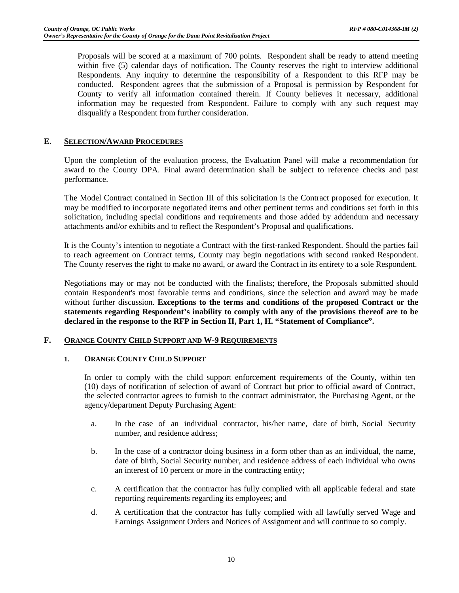Proposals will be scored at a maximum of 700 points. Respondent shall be ready to attend meeting within five (5) calendar days of notification. The County reserves the right to interview additional Respondents. Any inquiry to determine the responsibility of a Respondent to this RFP may be conducted. Respondent agrees that the submission of a Proposal is permission by Respondent for County to verify all information contained therein. If County believes it necessary, additional information may be requested from Respondent. Failure to comply with any such request may disqualify a Respondent from further consideration.

# **E. SELECTION/AWARD PROCEDURES**

Upon the completion of the evaluation process, the Evaluation Panel will make a recommendation for award to the County DPA. Final award determination shall be subject to reference checks and past performance.

The Model Contract contained in Section III of this solicitation is the Contract proposed for execution. It may be modified to incorporate negotiated items and other pertinent terms and conditions set forth in this solicitation, including special conditions and requirements and those added by addendum and necessary attachments and/or exhibits and to reflect the Respondent's Proposal and qualifications.

It is the County's intention to negotiate a Contract with the first-ranked Respondent. Should the parties fail to reach agreement on Contract terms, County may begin negotiations with second ranked Respondent. The County reserves the right to make no award, or award the Contract in its entirety to a sole Respondent.

Negotiations may or may not be conducted with the finalists; therefore, the Proposals submitted should contain Respondent's most favorable terms and conditions, since the selection and award may be made without further discussion. **Exceptions to the terms and conditions of the proposed Contract or the statements regarding Respondent's inability to comply with any of the provisions thereof are to be declared in the response to the RFP in Section II, Part 1, H. "Statement of Compliance".**

#### **F. ORANGE COUNTY CHILD SUPPORT AND W-9 REQUIREMENTS**

#### **1. ORANGE COUNTY CHILD SUPPORT**

In order to comply with the child support enforcement requirements of the County, within ten (10) days of notification of selection of award of Contract but prior to official award of Contract, the selected contractor agrees to furnish to the contract administrator, the Purchasing Agent, or the agency/department Deputy Purchasing Agent:

- a. In the case of an individual contractor, his/her name, date of birth, Social Security number, and residence address;
- b. In the case of a contractor doing business in a form other than as an individual, the name, date of birth, Social Security number, and residence address of each individual who owns an interest of 10 percent or more in the contracting entity;
- c. A certification that the contractor has fully complied with all applicable federal and state reporting requirements regarding its employees; and
- d. A certification that the contractor has fully complied with all lawfully served Wage and Earnings Assignment Orders and Notices of Assignment and will continue to so comply.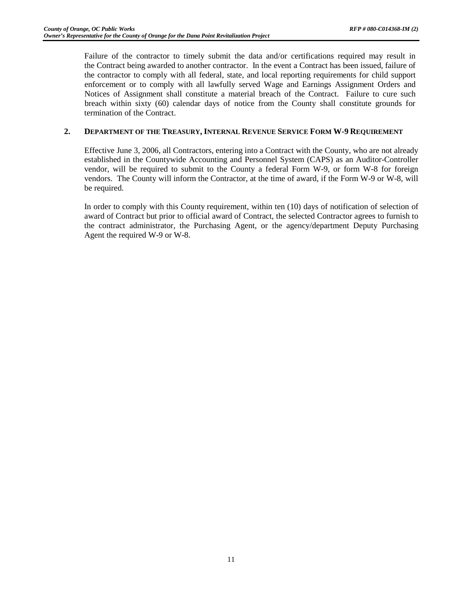Failure of the contractor to timely submit the data and/or certifications required may result in the Contract being awarded to another contractor. In the event a Contract has been issued, failure of the contractor to comply with all federal, state, and local reporting requirements for child support enforcement or to comply with all lawfully served Wage and Earnings Assignment Orders and Notices of Assignment shall constitute a material breach of the Contract. Failure to cure such breach within sixty (60) calendar days of notice from the County shall constitute grounds for termination of the Contract.

# **2. DEPARTMENT OF THE TREASURY, INTERNAL REVENUE SERVICE FORM W-9 REQUIREMENT**

Effective June 3, 2006, all Contractors, entering into a Contract with the County, who are not already established in the Countywide Accounting and Personnel System (CAPS) as an Auditor-Controller vendor, will be required to submit to the County a federal Form W-9, or form W-8 for foreign vendors. The County will inform the Contractor, at the time of award, if the Form W-9 or W-8, will be required.

In order to comply with this County requirement, within ten (10) days of notification of selection of award of Contract but prior to official award of Contract, the selected Contractor agrees to furnish to the contract administrator, the Purchasing Agent, or the agency/department Deputy Purchasing Agent the required W-9 or W-8.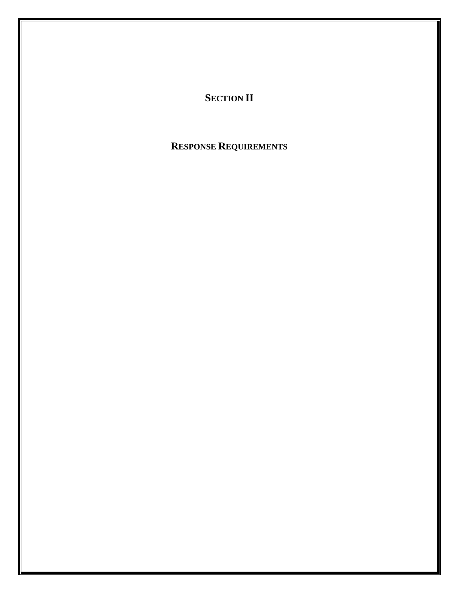# **SECTION II**

# **RESPONSE REQUIREMENTS**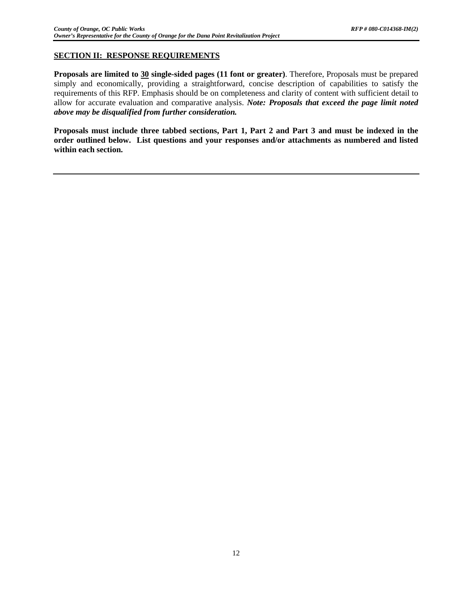# **SECTION II: RESPONSE REQUIREMENTS**

**Proposals are limited to 30 single-sided pages (11 font or greater)**. Therefore, Proposals must be prepared simply and economically, providing a straightforward, concise description of capabilities to satisfy the requirements of this RFP. Emphasis should be on completeness and clarity of content with sufficient detail to allow for accurate evaluation and comparative analysis. *Note: Proposals that exceed the page limit noted above may be disqualified from further consideration.*

**Proposals must include three tabbed sections, Part 1, Part 2 and Part 3 and must be indexed in the order outlined below. List questions and your responses and/or attachments as numbered and listed within each section.**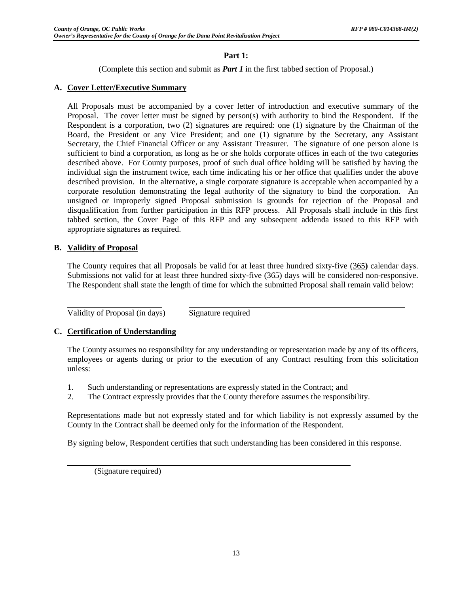# **Part 1:**

(Complete this section and submit as *Part 1* in the first tabbed section of Proposal.)

# **A. Cover Letter/Executive Summary**

All Proposals must be accompanied by a cover letter of introduction and executive summary of the Proposal. The cover letter must be signed by person(s) with authority to bind the Respondent. If the Respondent is a corporation, two (2) signatures are required: one (1) signature by the Chairman of the Board, the President or any Vice President; and one (1) signature by the Secretary, any Assistant Secretary, the Chief Financial Officer or any Assistant Treasurer. The signature of one person alone is sufficient to bind a corporation, as long as he or she holds corporate offices in each of the two categories described above. For County purposes, proof of such dual office holding will be satisfied by having the individual sign the instrument twice, each time indicating his or her office that qualifies under the above described provision. In the alternative, a single corporate signature is acceptable when accompanied by a corporate resolution demonstrating the legal authority of the signatory to bind the corporation. An unsigned or improperly signed Proposal submission is grounds for rejection of the Proposal and disqualification from further participation in this RFP process. All Proposals shall include in this first tabbed section, the Cover Page of this RFP and any subsequent addenda issued to this RFP with appropriate signatures as required.

# **B. Validity of Proposal**

The County requires that all Proposals be valid for at least three hundred sixty-five (365**)** calendar days. Submissions not valid for at least three hundred sixty-five (365) days will be considered non-responsive. The Respondent shall state the length of time for which the submitted Proposal shall remain valid below:

Validity of Proposal (in days) Signature required

# **C. Certification of Understanding**

The County assumes no responsibility for any understanding or representation made by any of its officers, employees or agents during or prior to the execution of any Contract resulting from this solicitation unless:

- 1. Such understanding or representations are expressly stated in the Contract; and
- 2. The Contract expressly provides that the County therefore assumes the responsibility.

Representations made but not expressly stated and for which liability is not expressly assumed by the County in the Contract shall be deemed only for the information of the Respondent.

By signing below, Respondent certifies that such understanding has been considered in this response.

(Signature required)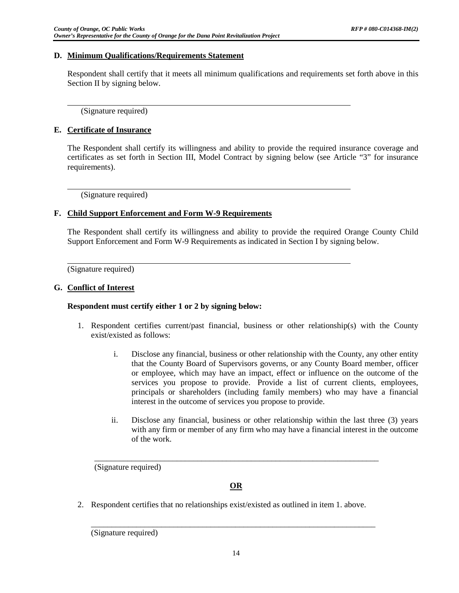### **D. Minimum Qualifications/Requirements Statement**

Respondent shall certify that it meets all minimum qualifications and requirements set forth above in this Section II by signing below.

(Signature required)

# **E. Certificate of Insurance**

The Respondent shall certify its willingness and ability to provide the required insurance coverage and certificates as set forth in Section III, Model Contract by signing below (see Article "3" for insurance requirements).

(Signature required)

#### **F. Child Support Enforcement and Form W-9 Requirements**

The Respondent shall certify its willingness and ability to provide the required Orange County Child Support Enforcement and Form W-9 Requirements as indicated in Section I by signing below.

(Signature required)

# **G. Conflict of Interest**

#### **Respondent must certify either 1 or 2 by signing below:**

- 1. Respondent certifies current/past financial, business or other relationship(s) with the County exist/existed as follows:
	- i. Disclose any financial, business or other relationship with the County, any other entity that the County Board of Supervisors governs, or any County Board member, officer or employee, which may have an impact, effect or influence on the outcome of the services you propose to provide. Provide a list of current clients, employees, principals or shareholders (including family members) who may have a financial interest in the outcome of services you propose to provide.
	- ii. Disclose any financial, business or other relationship within the last three (3) years with any firm or member of any firm who may have a financial interest in the outcome of the work.

(Signature required)

# **OR**

\_\_\_\_\_\_\_\_\_\_\_\_\_\_\_\_\_\_\_\_\_\_\_\_\_\_\_\_\_\_\_\_\_\_\_\_\_\_\_\_\_\_\_\_\_\_\_\_\_\_\_\_\_\_\_\_\_\_\_\_\_\_\_\_\_\_\_\_\_

2. Respondent certifies that no relationships exist/existed as outlined in item 1. above.

(Signature required)

\_\_\_\_\_\_\_\_\_\_\_\_\_\_\_\_\_\_\_\_\_\_\_\_\_\_\_\_\_\_\_\_\_\_\_\_\_\_\_\_\_\_\_\_\_\_\_\_\_\_\_\_\_\_\_\_\_\_\_\_\_\_\_\_\_\_\_\_\_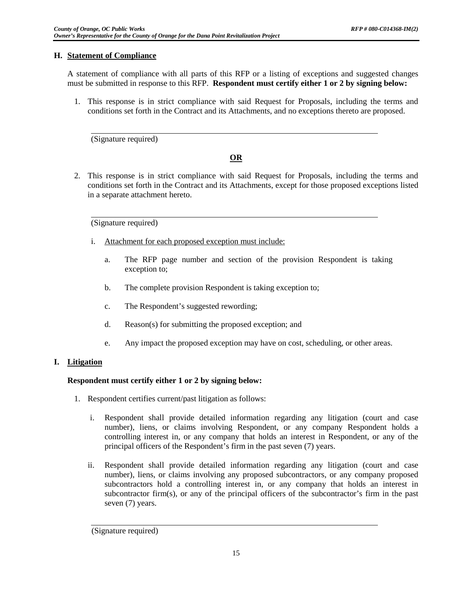# **H. Statement of Compliance**

A statement of compliance with all parts of this RFP or a listing of exceptions and suggested changes must be submitted in response to this RFP. **Respondent must certify either 1 or 2 by signing below:**

1. This response is in strict compliance with said Request for Proposals, including the terms and conditions set forth in the Contract and its Attachments, and no exceptions thereto are proposed.

(Signature required)

# **OR**

2. This response is in strict compliance with said Request for Proposals, including the terms and conditions set forth in the Contract and its Attachments, except for those proposed exceptions listed in a separate attachment hereto.

(Signature required)

- i. Attachment for each proposed exception must include:
	- a. The RFP page number and section of the provision Respondent is taking exception to;
	- b. The complete provision Respondent is taking exception to;
	- c. The Respondent's suggested rewording;
	- d. Reason(s) for submitting the proposed exception; and
	- e. Any impact the proposed exception may have on cost, scheduling, or other areas.

# **I. Litigation**

# **Respondent must certify either 1 or 2 by signing below:**

- 1. Respondent certifies current/past litigation as follows:
	- i. Respondent shall provide detailed information regarding any litigation (court and case number), liens, or claims involving Respondent, or any company Respondent holds a controlling interest in, or any company that holds an interest in Respondent, or any of the principal officers of the Respondent's firm in the past seven (7) years.
	- ii. Respondent shall provide detailed information regarding any litigation (court and case number), liens, or claims involving any proposed subcontractors, or any company proposed subcontractors hold a controlling interest in, or any company that holds an interest in subcontractor firm(s), or any of the principal officers of the subcontractor's firm in the past seven (7) years.

 <sup>(</sup>Signature required)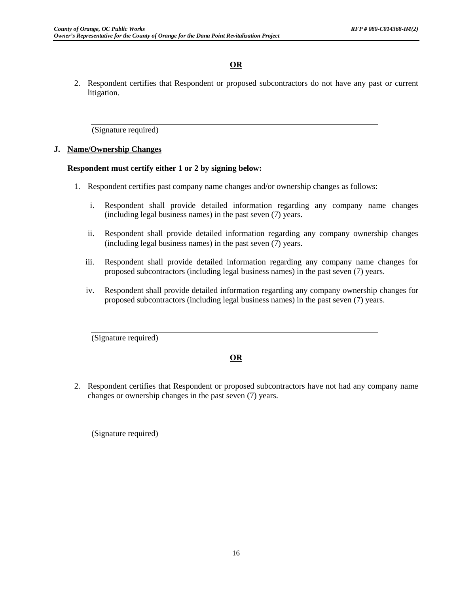# **OR**

2. Respondent certifies that Respondent or proposed subcontractors do not have any past or current litigation.

(Signature required)

# **J. Name/Ownership Changes**

# **Respondent must certify either 1 or 2 by signing below:**

- 1. Respondent certifies past company name changes and/or ownership changes as follows:
	- i. Respondent shall provide detailed information regarding any company name changes (including legal business names) in the past seven (7) years.
	- ii. Respondent shall provide detailed information regarding any company ownership changes (including legal business names) in the past seven (7) years.
	- iii. Respondent shall provide detailed information regarding any company name changes for proposed subcontractors (including legal business names) in the past seven (7) years.
	- iv. Respondent shall provide detailed information regarding any company ownership changes for proposed subcontractors (including legal business names) in the past seven (7) years.

(Signature required)

# **OR**

2. Respondent certifies that Respondent or proposed subcontractors have not had any company name changes or ownership changes in the past seven (7) years.

(Signature required)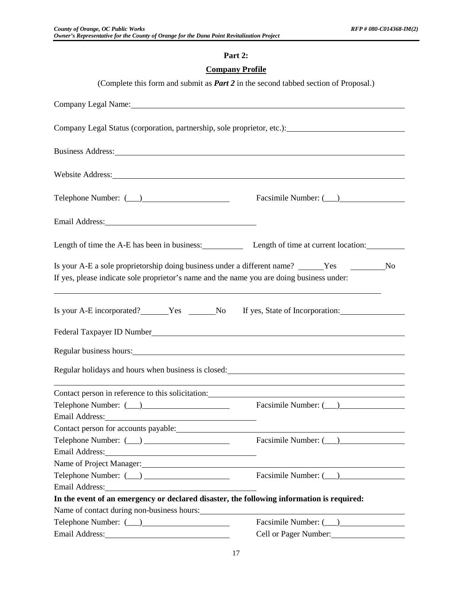# **Part 2:**

# **Company Profile**

| (Complete this form and submit as <i>Part 2</i> in the second tabbed section of Proposal.)                                                                                                                                                                             |                                 |
|------------------------------------------------------------------------------------------------------------------------------------------------------------------------------------------------------------------------------------------------------------------------|---------------------------------|
| Company Legal Name: Name Company Legal Name Company Legal Name Company Legal Name Company Company Company Company Company Company Company Company Company Company Company Company Company Company Company Company Company Comp                                         |                                 |
| Company Legal Status (corporation, partnership, sole proprietor, etc.): ____________________________                                                                                                                                                                   |                                 |
| Business Address:                                                                                                                                                                                                                                                      |                                 |
| Website Address: Note and the set of the set of the set of the set of the set of the set of the set of the set of the set of the set of the set of the set of the set of the set of the set of the set of the set of the set o                                         |                                 |
|                                                                                                                                                                                                                                                                        | Facsimile Number: (__)          |
| Email Address: No. 1996. The Contract of the Contract of the Contract of the Contract of the Contract of the Contract of the Contract of the Contract of the Contract of the Contract of the Contract of the Contract of the C                                         |                                 |
| Length of time the A-E has been in business: Length of time at current location:                                                                                                                                                                                       |                                 |
| Is your A-E a sole proprietorship doing business under a different name? ______Yes __________No<br>If yes, please indicate sole proprietor's name and the name you are doing business under:                                                                           |                                 |
| Is your A-E incorporated? Nes No                                                                                                                                                                                                                                       | If yes, State of Incorporation: |
|                                                                                                                                                                                                                                                                        |                                 |
| Regular business hours:                                                                                                                                                                                                                                                |                                 |
| Regular holidays and hours when business is closed:                                                                                                                                                                                                                    |                                 |
| Contact person in reference to this solicitation: example and the solicitation of the solicitation of the solicitation of the solicitation of the solicitation of the solicitation of the solicitation of the solicitation of                                          |                                 |
| Email Address: No. 1996. The Manual Address: No. 1997. The Manual Address: No. 1997. The Manual Address: No. 1997. The Manual Address: No. 1997. The Manual Address: No. 1997. The Manual Address: No. 1997. The Manual Addres<br>Contact person for accounts payable: | Facsimile Number: (__)          |
|                                                                                                                                                                                                                                                                        | Facsimile Number: (___)         |
| Email Address: No. 1996. The Contract of the Contract of the Contract of the Contract of the Contract of the Contract of the Contract of the Contract of the Contract of the Contract of the Contract of the Contract of the C                                         |                                 |
| Name of Project Manager: 1997 and 2008 and 2009 and 2009 and 2009 and 2009 and 2009 and 2009 and 2009 and 2009 and 2009 and 2009 and 2009 and 2009 and 2009 and 2009 and 2009 and 2009 and 2009 and 2009 and 2009 and 2009 and                                         |                                 |
|                                                                                                                                                                                                                                                                        |                                 |
| Email Address: No. 1996. Email Address:                                                                                                                                                                                                                                |                                 |
| In the event of an emergency or declared disaster, the following information is required:                                                                                                                                                                              |                                 |
| Name of contact during non-business hours:                                                                                                                                                                                                                             |                                 |
|                                                                                                                                                                                                                                                                        |                                 |
| Email Address: No. 1998                                                                                                                                                                                                                                                | Cell or Pager Number:           |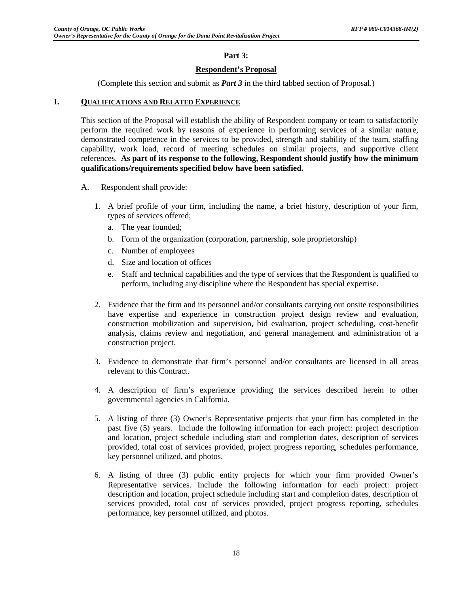# **Part 3:**

# **Respondent's Proposal**

(Complete this section and submit as *Part 3* in the third tabbed section of Proposal.)

#### **I. QUALIFICATIONS AND RELATED EXPERIENCE**

This section of the Proposal will establish the ability of Respondent company or team to satisfactorily perform the required work by reasons of experience in performing services of a similar nature, demonstrated competence in the services to be provided, strength and stability of the team, staffing capability, work load, record of meeting schedules on similar projects, and supportive client references. **As part of its response to the following, Respondent should justify how the minimum qualifications/requirements specified below have been satisfied.**

- A. Respondent shall provide:
	- 1. A brief profile of your firm, including the name, a brief history, description of your firm, types of services offered;
		- a. The year founded;
		- b. Form of the organization (corporation, partnership, sole proprietorship)
		- c. Number of employees
		- d. Size and location of offices
		- e. Staff and technical capabilities and the type of services that the Respondent is qualified to perform, including any discipline where the Respondent has special expertise.
	- 2. Evidence that the firm and its personnel and/or consultants carrying out onsite responsibilities have expertise and experience in construction project design review and evaluation, construction mobilization and supervision, bid evaluation, project scheduling, cost-benefit analysis, claims review and negotiation, and general management and administration of a construction project.
	- 3. Evidence to demonstrate that firm's personnel and/or consultants are licensed in all areas relevant to this Contract.
	- 4. A description of firm's experience providing the services described herein to other governmental agencies in California.
	- 5. A listing of three (3) Owner's Representative projects that your firm has completed in the past five (5) years. Include the following information for each project: project description and location, project schedule including start and completion dates, description of services provided, total cost of services provided, project progress reporting, schedules performance, key personnel utilized, and photos.
	- 6. A listing of three (3) public entity projects for which your firm provided Owner's Representative services. Include the following information for each project: project description and location, project schedule including start and completion dates, description of services provided, total cost of services provided, project progress reporting, schedules performance, key personnel utilized, and photos.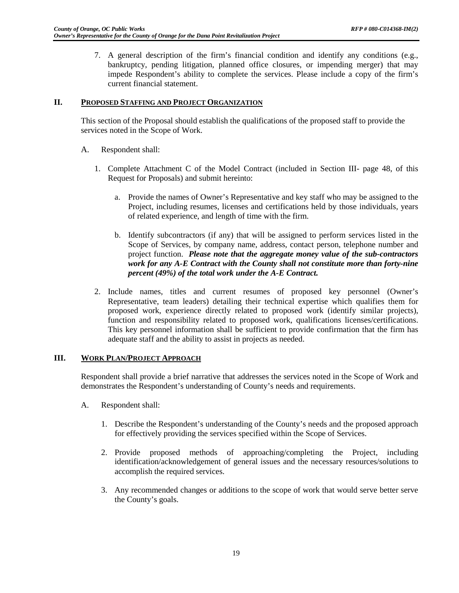7. A general description of the firm's financial condition and identify any conditions (e.g., bankruptcy, pending litigation, planned office closures, or impending merger) that may impede Respondent's ability to complete the services. Please include a copy of the firm's current financial statement.

#### **II. PROPOSED STAFFING AND PROJECT ORGANIZATION**

This section of the Proposal should establish the qualifications of the proposed staff to provide the services noted in the Scope of Work.

- A. Respondent shall:
	- 1. Complete Attachment C of the Model Contract (included in Section III- page 48, of this Request for Proposals) and submit hereinto:
		- a. Provide the names of Owner's Representative and key staff who may be assigned to the Project, including resumes, licenses and certifications held by those individuals, years of related experience, and length of time with the firm.
		- b. Identify subcontractors (if any) that will be assigned to perform services listed in the Scope of Services, by company name, address, contact person, telephone number and project function. *Please note that the aggregate money value of the sub-contractors work for any A-E Contract with the County shall not constitute more than forty-nine percent (49%) of the total work under the A-E Contract.*
	- 2. Include names, titles and current resumes of proposed key personnel (Owner's Representative, team leaders) detailing their technical expertise which qualifies them for proposed work, experience directly related to proposed work (identify similar projects), function and responsibility related to proposed work, qualifications licenses/certifications. This key personnel information shall be sufficient to provide confirmation that the firm has adequate staff and the ability to assist in projects as needed.

#### **III. WORK PLAN/PROJECT APPROACH**

Respondent shall provide a brief narrative that addresses the services noted in the Scope of Work and demonstrates the Respondent's understanding of County's needs and requirements.

- A. Respondent shall:
	- 1. Describe the Respondent's understanding of the County's needs and the proposed approach for effectively providing the services specified within the Scope of Services.
	- 2. Provide proposed methods of approaching/completing the Project, including identification/acknowledgement of general issues and the necessary resources/solutions to accomplish the required services.
	- 3. Any recommended changes or additions to the scope of work that would serve better serve the County's goals.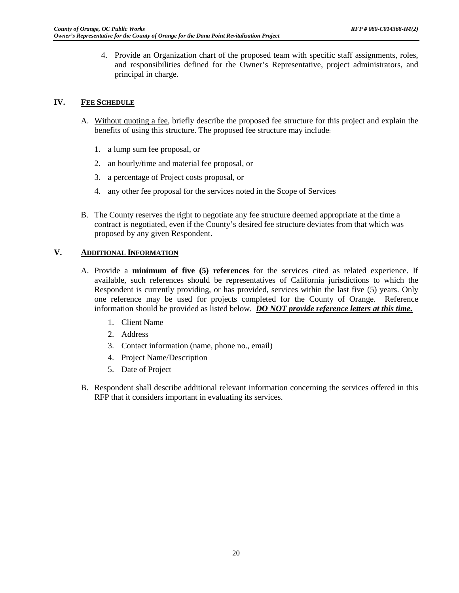4. Provide an Organization chart of the proposed team with specific staff assignments, roles, and responsibilities defined for the Owner's Representative, project administrators, and principal in charge.

# **IV. FEE SCHEDULE**

- A. Without quoting a fee, briefly describe the proposed fee structure for this project and explain the benefits of using this structure. The proposed fee structure may include:
	- 1. a lump sum fee proposal, or
	- 2. an hourly/time and material fee proposal, or
	- 3. a percentage of Project costs proposal, or
	- 4. any other fee proposal for the services noted in the Scope of Services
- B. The County reserves the right to negotiate any fee structure deemed appropriate at the time a contract is negotiated, even if the County's desired fee structure deviates from that which was proposed by any given Respondent.

# **V. ADDITIONAL INFORMATION**

- A. Provide a **minimum of five (5) references** for the services cited as related experience. If available, such references should be representatives of California jurisdictions to which the Respondent is currently providing, or has provided, services within the last five (5) years. Only one reference may be used for projects completed for the County of Orange. Reference information should be provided as listed below. *DO NOT provide reference letters at this time.* 
	- 1. Client Name
	- 2. Address
	- 3. Contact information (name, phone no., email)
	- 4. Project Name/Description
	- 5. Date of Project
- B. Respondent shall describe additional relevant information concerning the services offered in this RFP that it considers important in evaluating its services.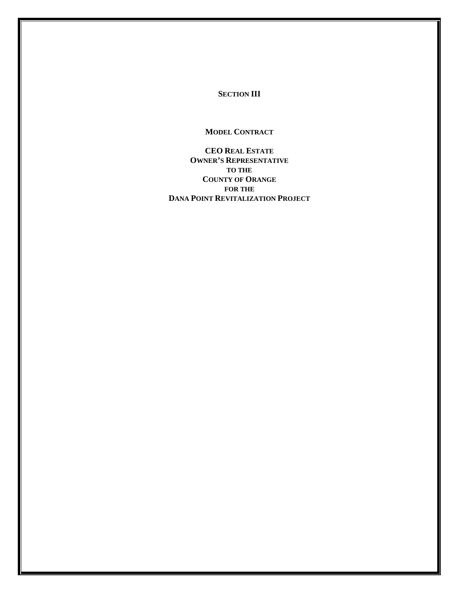**SECTION III**

**MODEL CONTRACT**

**CEO REAL ESTATE OWNER'S REPRESENTATIVE TO THE COUNTY OF ORANGE FOR THE DANA POINT REVITALIZATION PROJECT**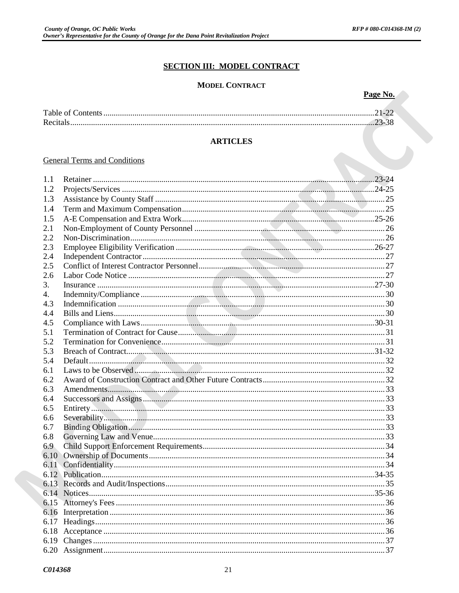# **SECTION III: MODEL CONTRACT**

# **MODEL CONTRACT**

| .,<br>.,<br>r. |  |
|----------------|--|
|                |  |

|                                     | $21-22$ |
|-------------------------------------|---------|
|                                     | 23-38   |
| <b>ARTICLES</b>                     |         |
| <b>General Terms and Conditions</b> |         |

# **ARTICLES**

#### **General Terms and Conditions**

| 1.1  |  |
|------|--|
| 1.2  |  |
| 1.3  |  |
| 1.4  |  |
| 1.5  |  |
| 2.1  |  |
| 2.2  |  |
| 2.3  |  |
| 2.4  |  |
| 2.5  |  |
| 2.6  |  |
| 3.   |  |
| 4.   |  |
| 4.3  |  |
| 4.4  |  |
| 4.5  |  |
| 5.1  |  |
| 5.2  |  |
| 5.3  |  |
| 5.4  |  |
| 6.1  |  |
| 6.2  |  |
|      |  |
| 6.3  |  |
| 6.4  |  |
| 6.5  |  |
| 6.6  |  |
| 6.7  |  |
| 6.8  |  |
| 6.9  |  |
| 6.10 |  |
| 6.11 |  |
|      |  |
|      |  |
|      |  |
|      |  |
|      |  |
|      |  |
|      |  |
|      |  |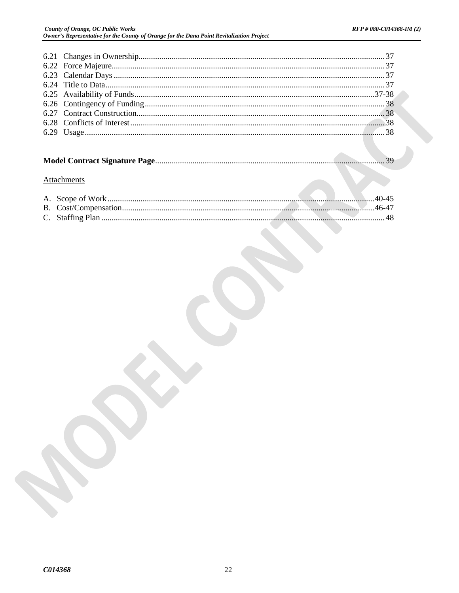# **Attachments**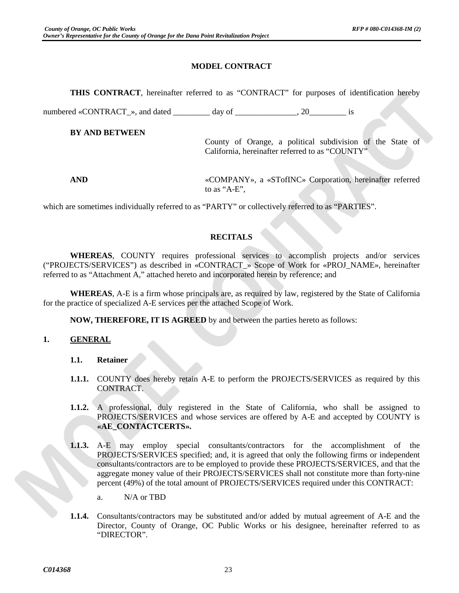# **MODEL CONTRACT**

**THIS CONTRACT**, hereinafter referred to as "CONTRACT" for purposes of identification hereby

numbered «CONTRACT<sub>\_</sub>», and dated \_\_\_\_\_\_\_\_ day of \_\_\_\_\_\_\_\_\_\_\_\_\_\_\_\_\_\_\_\_\_\_\_\_\_\_\_ is

**BY AND BETWEEN**

County of Orange, a political subdivision of the State of California, hereinafter referred to as "COUNTY"

**AND** «COMPANY»*,* a «STofINC» Corporation, hereinafter referred to as "A-E",

which are sometimes individually referred to as "PARTY" or collectively referred to as "PARTIES".

# **RECITALS**

**WHEREAS**, COUNTY requires professional services to accomplish projects and/or services ("PROJECTS/SERVICES") as described in «CONTRACT\_» Scope of Work for «PROJ\_NAME»*,* hereinafter referred to as "Attachment A," attached hereto and incorporated herein by reference; and

**WHEREAS**, A-E is a firm whose principals are, as required by law, registered by the State of California for the practice of specialized A-E services per the attached Scope of Work.

**NOW, THEREFORE, IT IS AGREED** by and between the parties hereto as follows:

# **1. GENERAL**

#### **1.1. Retainer**

- **1.1.1.** COUNTY does hereby retain A-E to perform the PROJECTS/SERVICES as required by this CONTRACT.
- **1.1.2.** A professional, duly registered in the State of California, who shall be assigned to PROJECTS/SERVICES and whose services are offered by A-E and accepted by COUNTY is **«AE\_CONTACTCERTS»***.*
- **1.1.3.** A-E may employ special consultants/contractors for the accomplishment of the PROJECTS/SERVICES specified; and, it is agreed that only the following firms or independent consultants/contractors are to be employed to provide these PROJECTS/SERVICES, and that the aggregate money value of their PROJECTS/SERVICES shall not constitute more than forty-nine percent (49%) of the total amount of PROJECTS/SERVICES required under this CONTRACT:

a. N/A or TBD

**1.1.4.** Consultants/contractors may be substituted and/or added by mutual agreement of A-E and the Director, County of Orange, OC Public Works or his designee, hereinafter referred to as "DIRECTOR".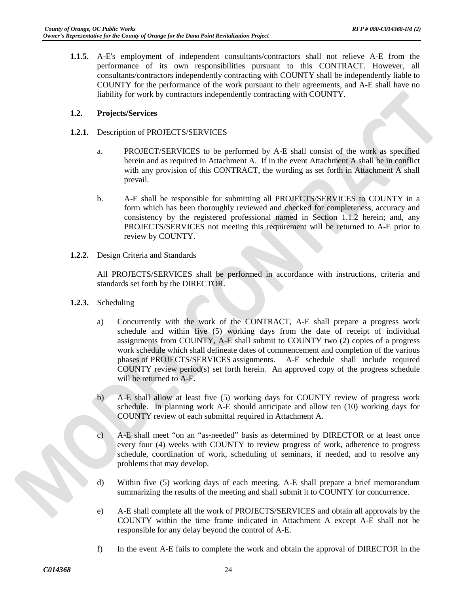**1.1.5.** A-E's employment of independent consultants/contractors shall not relieve A-E from the performance of its own responsibilities pursuant to this CONTRACT. However, all consultants/contractors independently contracting with COUNTY shall be independently liable to COUNTY for the performance of the work pursuant to their agreements, and A-E shall have no liability for work by contractors independently contracting with COUNTY.

# **1.2. Projects/Services**

- **1.2.1.** Description of PROJECTS/SERVICES
	- a. PROJECT/SERVICES to be performed by A-E shall consist of the work as specified herein and as required in Attachment A. If in the event Attachment A shall be in conflict with any provision of this CONTRACT, the wording as set forth in Attachment A shall prevail.
	- b. A-E shall be responsible for submitting all PROJECTS/SERVICES to COUNTY in a form which has been thoroughly reviewed and checked for completeness, accuracy and consistency by the registered professional named in Section 1.1.2 herein; and, any PROJECTS/SERVICES not meeting this requirement will be returned to A-E prior to review by COUNTY.
- **1.2.2.** Design Criteria and Standards

All PROJECTS/SERVICES shall be performed in accordance with instructions, criteria and standards set forth by the DIRECTOR.

- **1.2.3.** Scheduling
	- a) Concurrently with the work of the CONTRACT, A-E shall prepare a progress work schedule and within five (5) working days from the date of receipt of individual assignments from COUNTY, A-E shall submit to COUNTY two (2) copies of a progress work schedule which shall delineate dates of commencement and completion of the various phases of PROJECTS/SERVICES assignments. A-E schedule shall include required COUNTY review period(s) set forth herein. An approved copy of the progress schedule will be returned to A-E.
	- b) A-E shall allow at least five (5) working days for COUNTY review of progress work schedule. In planning work A-E should anticipate and allow ten (10) working days for COUNTY review of each submittal required in Attachment A.
	- c) A-E shall meet "on an "as-needed" basis as determined by DIRECTOR or at least once every four (4) weeks with COUNTY to review progress of work, adherence to progress schedule, coordination of work, scheduling of seminars, if needed, and to resolve any problems that may develop.
	- d) Within five (5) working days of each meeting, A-E shall prepare a brief memorandum summarizing the results of the meeting and shall submit it to COUNTY for concurrence.
	- e) A-E shall complete all the work of PROJECTS/SERVICES and obtain all approvals by the COUNTY within the time frame indicated in Attachment A except A-E shall not be responsible for any delay beyond the control of A-E.
	- f) In the event A-E fails to complete the work and obtain the approval of DIRECTOR in the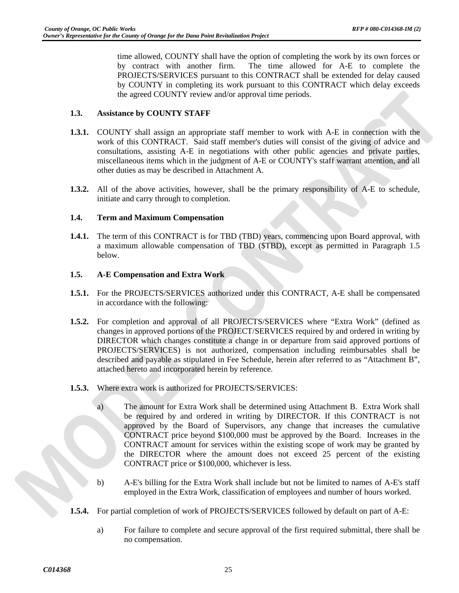time allowed, COUNTY shall have the option of completing the work by its own forces or by contract with another firm. The time allowed for A-E to complete the PROJECTS/SERVICES pursuant to this CONTRACT shall be extended for delay caused by COUNTY in completing its work pursuant to this CONTRACT which delay exceeds the agreed COUNTY review and/or approval time periods.

# **1.3. Assistance by COUNTY STAFF**

- **1.3.1.** COUNTY shall assign an appropriate staff member to work with A-E in connection with the work of this CONTRACT. Said staff member's duties will consist of the giving of advice and consultations, assisting A-E in negotiations with other public agencies and private parties, miscellaneous items which in the judgment of A-E or COUNTY's staff warrant attention, and all other duties as may be described in Attachment A.
- **1.3.2.** All of the above activities, however, shall be the primary responsibility of A-E to schedule, initiate and carry through to completion.

# **1.4. Term and Maximum Compensation**

**1.4.1.** The term of this CONTRACT is for TBD (TBD) years, commencing upon Board approval, with a maximum allowable compensation of TBD (\$TBD), except as permitted in Paragraph 1.5 below.

#### **1.5. A-E Compensation and Extra Work**

- **1.5.1.** For the PROJECTS/SERVICES authorized under this CONTRACT, A-E shall be compensated in accordance with the following:
- **1.5.2.** For completion and approval of all PROJECTS/SERVICES where "Extra Work" (defined as changes in approved portions of the PROJECT/SERVICES required by and ordered in writing by DIRECTOR which changes constitute a change in or departure from said approved portions of PROJECTS/SERVICES) is not authorized, compensation including reimbursables shall be described and payable as stipulated in Fee Schedule, herein after referred to as "Attachment B", attached hereto and incorporated herein by reference.
- **1.5.3.** Where extra work is authorized for PROJECTS/SERVICES:
	- a) The amount for Extra Work shall be determined using Attachment B. Extra Work shall be required by and ordered in writing by DIRECTOR. If this CONTRACT is not approved by the Board of Supervisors, any change that increases the cumulative CONTRACT price beyond \$100,000 must be approved by the Board. Increases in the CONTRACT amount for services within the existing scope of work may be granted by the DIRECTOR where the amount does not exceed 25 percent of the existing CONTRACT price or \$100,000, whichever is less.
	- b) A-E's billing for the Extra Work shall include but not be limited to names of A-E's staff employed in the Extra Work, classification of employees and number of hours worked.
- **1.5.4.** For partial completion of work of PROJECTS/SERVICES followed by default on part of A-E:
	- a) For failure to complete and secure approval of the first required submittal, there shall be no compensation.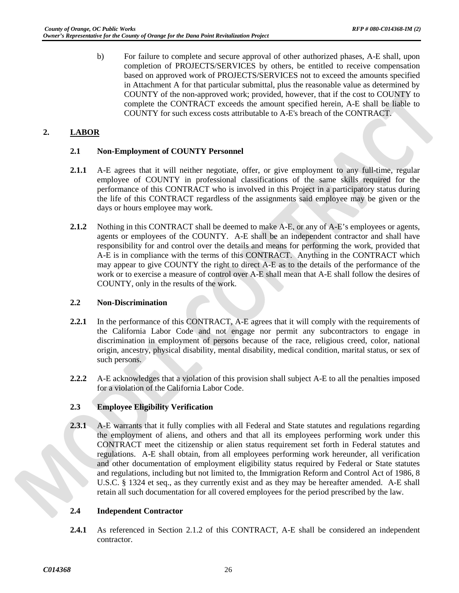b) For failure to complete and secure approval of other authorized phases, A-E shall, upon completion of PROJECTS/SERVICES by others, be entitled to receive compensation based on approved work of PROJECTS/SERVICES not to exceed the amounts specified in Attachment A for that particular submittal, plus the reasonable value as determined by COUNTY of the non-approved work; provided, however, that if the cost to COUNTY to complete the CONTRACT exceeds the amount specified herein, A-E shall be liable to COUNTY for such excess costs attributable to A-E's breach of the CONTRACT.

# **2. LABOR**

# **2.1 Non-Employment of COUNTY Personnel**

- **2.1.1** A-E agrees that it will neither negotiate, offer, or give employment to any full-time, regular employee of COUNTY in professional classifications of the same skills required for the performance of this CONTRACT who is involved in this Project in a participatory status during the life of this CONTRACT regardless of the assignments said employee may be given or the days or hours employee may work.
- **2.1.2** Nothing in this CONTRACT shall be deemed to make A-E, or any of A-E's employees or agents, agents or employees of the COUNTY. A-E shall be an independent contractor and shall have responsibility for and control over the details and means for performing the work, provided that A-E is in compliance with the terms of this CONTRACT. Anything in the CONTRACT which may appear to give COUNTY the right to direct A-E as to the details of the performance of the work or to exercise a measure of control over A-E shall mean that A-E shall follow the desires of COUNTY, only in the results of the work.

# **2.2 Non-Discrimination**

- **2.2.1** In the performance of this CONTRACT, A-E agrees that it will comply with the requirements of the California Labor Code and not engage nor permit any subcontractors to engage in discrimination in employment of persons because of the race, religious creed, color, national origin, ancestry, physical disability, mental disability, medical condition, marital status, or sex of such persons.
- **2.2.2** A-E acknowledges that a violation of this provision shall subject A-E to all the penalties imposed for a violation of the California Labor Code.

# **2.3 Employee Eligibility Verification**

**2.3.1** A-E warrants that it fully complies with all Federal and State statutes and regulations regarding the employment of aliens, and others and that all its employees performing work under this CONTRACT meet the citizenship or alien status requirement set forth in Federal statutes and regulations. A-E shall obtain, from all employees performing work hereunder, all verification and other documentation of employment eligibility status required by Federal or State statutes and regulations, including but not limited to, the Immigration Reform and Control Act of 1986, 8 U.S.C. § 1324 et seq., as they currently exist and as they may be hereafter amended. A-E shall retain all such documentation for all covered employees for the period prescribed by the law.

# **2.4 Independent Contractor**

**2.4.1** As referenced in Section 2.1.2 of this CONTRACT, A-E shall be considered an independent contractor.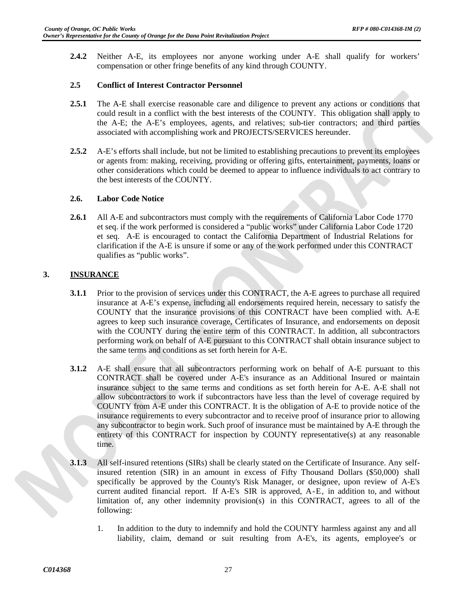**2.4.2** Neither A-E, its employees nor anyone working under A-E shall qualify for workers' compensation or other fringe benefits of any kind through COUNTY.

# **2.5 Conflict of Interest Contractor Personnel**

- **2.5.1** The A-E shall exercise reasonable care and diligence to prevent any actions or conditions that could result in a conflict with the best interests of the COUNTY. This obligation shall apply to the A-E; the A-E's employees, agents, and relatives; sub-tier contractors; and third parties associated with accomplishing work and PROJECTS/SERVICES hereunder.
- **2.5.2** A-E's efforts shall include, but not be limited to establishing precautions to prevent its employees or agents from: making, receiving, providing or offering gifts, entertainment, payments, loans or other considerations which could be deemed to appear to influence individuals to act contrary to the best interests of the COUNTY.

#### **2.6. Labor Code Notice**

**2.6.1** All A-E and subcontractors must comply with the requirements of California Labor Code 1770 et seq. if the work performed is considered a "public works" under California Labor Code 1720 et seq. A-E is encouraged to contact the California Department of Industrial Relations for clarification if the A-E is unsure if some or any of the work performed under this CONTRACT qualifies as "public works".

# **3. INSURANCE**

- **3.1.1** Prior to the provision of services under this CONTRACT, the A-E agrees to purchase all required insurance at A-E's expense, including all endorsements required herein, necessary to satisfy the COUNTY that the insurance provisions of this CONTRACT have been complied with. A-E agrees to keep such insurance coverage, Certificates of Insurance, and endorsements on deposit with the COUNTY during the entire term of this CONTRACT. In addition, all subcontractors performing work on behalf of A-E pursuant to this CONTRACT shall obtain insurance subject to the same terms and conditions as set forth herein for A-E.
- **3.1.2** A-E shall ensure that all subcontractors performing work on behalf of A-E pursuant to this CONTRACT shall be covered under A-E's insurance as an Additional Insured or maintain insurance subject to the same terms and conditions as set forth herein for A-E. A-E shall not allow subcontractors to work if subcontractors have less than the level of coverage required by COUNTY from A-E under this CONTRACT. It is the obligation of A-E to provide notice of the insurance requirements to every subcontractor and to receive proof of insurance prior to allowing any subcontractor to begin work. Such proof of insurance must be maintained by A-E through the entirety of this CONTRACT for inspection by COUNTY representative(s) at any reasonable time.
- **3.1.3** All self-insured retentions (SIRs) shall be clearly stated on the Certificate of Insurance. Any selfinsured retention (SIR) in an amount in excess of Fifty Thousand Dollars (\$50,000) shall specifically be approved by the County's Risk Manager, or designee, upon review of A-E's current audited financial report. If A-E's SIR is approved, A-E, in addition to, and without limitation of, any other indemnity provision(s) in this CONTRACT, agrees to all of the following:
	- 1. In addition to the duty to indemnify and hold the COUNTY harmless against any and all liability, claim, demand or suit resulting from A-E's, its agents, employee's or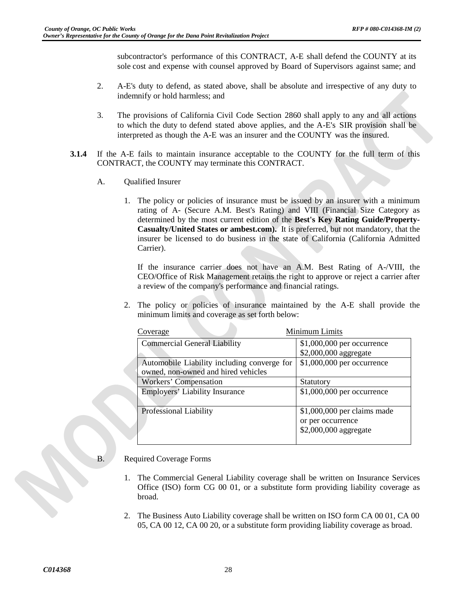subcontractor's performance of this CONTRACT, A-E shall defend the COUNTY at its sole cost and expense with counsel approved by Board of Supervisors against same; and

- 2. A-E's duty to defend, as stated above, shall be absolute and irrespective of any duty to indemnify or hold harmless; and
- 3. The provisions of California Civil Code Section 2860 shall apply to any and all actions to which the duty to defend stated above applies, and the A-E's SIR provision shall be interpreted as though the A-E was an insurer and the COUNTY was the insured.
- **3.1.4** If the A-E fails to maintain insurance acceptable to the COUNTY for the full term of this CONTRACT, the COUNTY may terminate this CONTRACT.
	- A. Qualified Insurer
		- 1. The policy or policies of insurance must be issued by an insurer with a minimum rating of A- (Secure A.M. Best's Rating) and VIII (Financial Size Category as determined by the most current edition of the **Best's Key Rating Guide/Property-Casualty/United States or ambest.com).** It is preferred, but not mandatory, that the insurer be licensed to do business in the state of California (California Admitted Carrier).

If the insurance carrier does not have an A.M. Best Rating of A-/VIII, the CEO/Office of Risk Management retains the right to approve or reject a carrier after a review of the company's performance and financial ratings.

2. The policy or policies of insurance maintained by the A-E shall provide the minimum limits and coverage as set forth below:

| Coverage                                    | Minimum Limits               |  |  |  |
|---------------------------------------------|------------------------------|--|--|--|
| <b>Commercial General Liability</b>         | $$1,000,000$ per occurrence  |  |  |  |
|                                             | \$2,000,000 aggregate        |  |  |  |
| Automobile Liability including converge for | \$1,000,000 per occurrence   |  |  |  |
| owned, non-owned and hired vehicles         |                              |  |  |  |
| Workers' Compensation                       | Statutory                    |  |  |  |
| <b>Employers' Liability Insurance</b>       | \$1,000,000 per occurrence   |  |  |  |
| Professional Liability                      | $$1,000,000$ per claims made |  |  |  |
|                                             | or per occurrence            |  |  |  |
|                                             | \$2,000,000 aggregate        |  |  |  |

- B. Required Coverage Forms
	- 1. The Commercial General Liability coverage shall be written on Insurance Services Office (ISO) form CG 00 01, or a substitute form providing liability coverage as broad.
	- 2. The Business Auto Liability coverage shall be written on ISO form CA 00 01, CA 00 05, CA 00 12, CA 00 20, or a substitute form providing liability coverage as broad.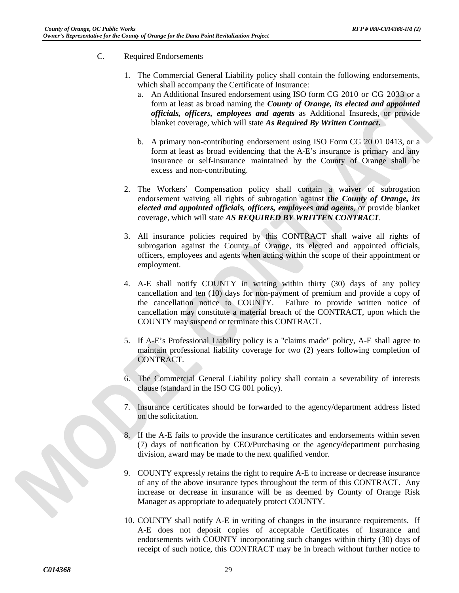- C. Required Endorsements
	- 1. The Commercial General Liability policy shall contain the following endorsements, which shall accompany the Certificate of Insurance:
		- a. An Additional Insured endorsement using ISO form CG 2010 or CG 2033 or a form at least as broad naming the *County of Orange, its elected and appointed officials, officers, employees and agents* as Additional Insureds, or provide blanket coverage, which will state *As Required By Written Contract***.**
		- b. A primary non-contributing endorsement using ISO Form CG 20 01 0413, or a form at least as broad evidencing that the A-E's insurance is primary and any insurance or self-insurance maintained by the County of Orange shall be excess and non-contributing.
	- 2. The Workers' Compensation policy shall contain a waiver of subrogation endorsement waiving all rights of subrogation against **the** *County of Orange, its elected and appointed officials, officers, employees and agents*, or provide blanket coverage, which will state *AS REQUIRED BY WRITTEN CONTRACT.*
	- 3. All insurance policies required by this CONTRACT shall waive all rights of subrogation against the County of Orange, its elected and appointed officials, officers, employees and agents when acting within the scope of their appointment or employment.
	- 4. A-E shall notify COUNTY in writing within thirty (30) days of any policy cancellation and ten (10) days for non-payment of premium and provide a copy of the cancellation notice to COUNTY. Failure to provide written notice of cancellation may constitute a material breach of the CONTRACT, upon which the COUNTY may suspend or terminate this CONTRACT.
	- 5. If A-E's Professional Liability policy is a "claims made" policy, A-E shall agree to maintain professional liability coverage for two (2) years following completion of CONTRACT.
	- 6. The Commercial General Liability policy shall contain a severability of interests clause (standard in the ISO CG 001 policy).
	- 7. Insurance certificates should be forwarded to the agency/department address listed on the solicitation.
	- 8. If the A-E fails to provide the insurance certificates and endorsements within seven (7) days of notification by CEO/Purchasing or the agency/department purchasing division, award may be made to the next qualified vendor.
	- 9. COUNTY expressly retains the right to require A-E to increase or decrease insurance of any of the above insurance types throughout the term of this CONTRACT. Any increase or decrease in insurance will be as deemed by County of Orange Risk Manager as appropriate to adequately protect COUNTY.
	- 10. COUNTY shall notify A-E in writing of changes in the insurance requirements. If A-E does not deposit copies of acceptable Certificates of Insurance and endorsements with COUNTY incorporating such changes within thirty (30) days of receipt of such notice, this CONTRACT may be in breach without further notice to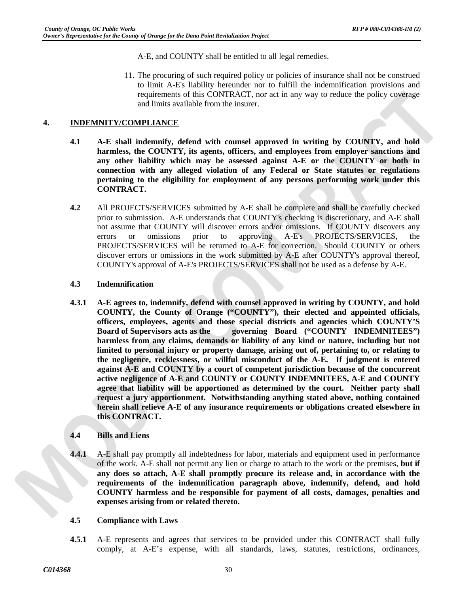A-E, and COUNTY shall be entitled to all legal remedies.

11. The procuring of such required policy or policies of insurance shall not be construed to limit A-E's liability hereunder nor to fulfill the indemnification provisions and requirements of this CONTRACT, nor act in any way to reduce the policy coverage and limits available from the insurer.

# **4. INDEMNITY/COMPLIANCE**

- **4.1 A-E shall indemnify, defend with counsel approved in writing by COUNTY, and hold harmless, the COUNTY, its agents, officers, and employees from employer sanctions and any other liability which may be assessed against A-E or the COUNTY or both in connection with any alleged violation of any Federal or State statutes or regulations pertaining to the eligibility for employment of any persons performing work under this CONTRACT.**
- **4.2** All PROJECTS/SERVICES submitted by A-E shall be complete and shall be carefully checked prior to submission. A-E understands that COUNTY's checking is discretionary, and A-E shall not assume that COUNTY will discover errors and/or omissions. If COUNTY discovers any errors or omissions prior to approving A-E's PROJECTS/SERVICES, the PROJECTS/SERVICES will be returned to A-E for correction. Should COUNTY or others discover errors or omissions in the work submitted by A-E after COUNTY's approval thereof, COUNTY's approval of A-E's PROJECTS/SERVICES shall not be used as a defense by A-E.

#### **4.3 Indemnification**

**4.3.1 A-E agrees to, indemnify, defend with counsel approved in writing by COUNTY, and hold COUNTY, the County of Orange ("COUNTY"), their elected and appointed officials, officers, employees, agents and those special districts and agencies which COUNTY'S Board of Supervisors acts as the governing Board ("COUNTY INDEMNITEES") harmless from any claims, demands or liability of any kind or nature, including but not limited to personal injury or property damage, arising out of, pertaining to, or relating to the negligence, recklessness, or willful misconduct of the A-E. If judgment is entered against A-E and COUNTY by a court of competent jurisdiction because of the concurrent active negligence of A-E and COUNTY or COUNTY INDEMNITEES, A-E and COUNTY agree that liability will be apportioned as determined by the court. Neither party shall request a jury apportionment. Notwithstanding anything stated above, nothing contained herein shall relieve A-E of any insurance requirements or obligations created elsewhere in this CONTRACT.**

# **4.4 Bills and Liens**

**4.4.1** A-E shall pay promptly all indebtedness for labor, materials and equipment used in performance of the work. A-E shall not permit any lien or charge to attach to the work or the premises, **but if any does so attach, A-E shall promptly procure its release and, in accordance with the requirements of the indemnification paragraph above, indemnify, defend, and hold COUNTY harmless and be responsible for payment of all costs, damages, penalties and expenses arising from or related thereto.**

#### **4.5 Compliance with Laws**

**4.5.1** A-E represents and agrees that services to be provided under this CONTRACT shall fully comply, at A-E's expense, with all standards, laws, statutes, restrictions, ordinances,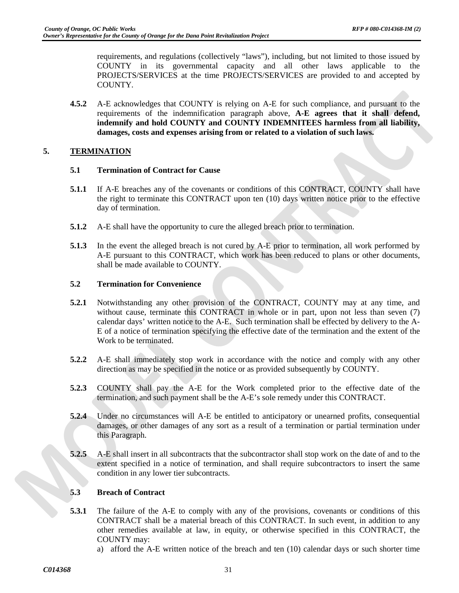requirements, and regulations (collectively "laws"), including, but not limited to those issued by COUNTY in its governmental capacity and all other laws applicable to the PROJECTS/SERVICES at the time PROJECTS/SERVICES are provided to and accepted by COUNTY.

**4.5.2** A-E acknowledges that COUNTY is relying on A-E for such compliance, and pursuant to the requirements of the indemnification paragraph above, **A-E agrees that it shall defend, indemnify and hold COUNTY and COUNTY INDEMNITEES harmless from all liability, damages, costs and expenses arising from or related to a violation of such laws.**

# **5. TERMINATION**

#### **5.1 Termination of Contract for Cause**

- **5.1.1** If A-E breaches any of the covenants or conditions of this CONTRACT, COUNTY shall have the right to terminate this CONTRACT upon ten (10) days written notice prior to the effective day of termination.
- **5.1.2** A-E shall have the opportunity to cure the alleged breach prior to termination.
- **5.1.3** In the event the alleged breach is not cured by A-E prior to termination, all work performed by A-E pursuant to this CONTRACT, which work has been reduced to plans or other documents, shall be made available to COUNTY.

# **5.2 Termination for Convenience**

- **5.2.1** Notwithstanding any other provision of the CONTRACT, COUNTY may at any time, and without cause, terminate this CONTRACT in whole or in part, upon not less than seven (7) calendar days' written notice to the A-E. Such termination shall be effected by delivery to the A-E of a notice of termination specifying the effective date of the termination and the extent of the Work to be terminated.
- **5.2.2** A-E shall immediately stop work in accordance with the notice and comply with any other direction as may be specified in the notice or as provided subsequently by COUNTY.
- **5.2.3** COUNTY shall pay the A-E for the Work completed prior to the effective date of the termination, and such payment shall be the A-E's sole remedy under this CONTRACT.
- **5.2.4** Under no circumstances will A-E be entitled to anticipatory or unearned profits, consequential damages, or other damages of any sort as a result of a termination or partial termination under this Paragraph.
- **5.2.5** A-E shall insert in all subcontracts that the subcontractor shall stop work on the date of and to the extent specified in a notice of termination, and shall require subcontractors to insert the same condition in any lower tier subcontracts.

# **5.3 Breach of Contract**

- **5.3.1** The failure of the A-E to comply with any of the provisions, covenants or conditions of this CONTRACT shall be a material breach of this CONTRACT. In such event, in addition to any other remedies available at law, in equity, or otherwise specified in this CONTRACT, the COUNTY may:
	- a) afford the A-E written notice of the breach and ten (10) calendar days or such shorter time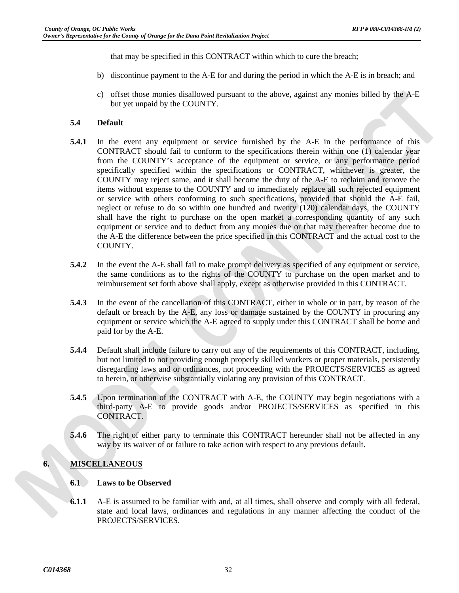that may be specified in this CONTRACT within which to cure the breach;

- b) discontinue payment to the A-E for and during the period in which the A-E is in breach; and
- c) offset those monies disallowed pursuant to the above, against any monies billed by the A-E but yet unpaid by the COUNTY.

# **5.4 Default**

- **5.4.1** In the event any equipment or service furnished by the A-E in the performance of this CONTRACT should fail to conform to the specifications therein within one (1) calendar year from the COUNTY's acceptance of the equipment or service, or any performance period specifically specified within the specifications or CONTRACT, whichever is greater, the COUNTY may reject same, and it shall become the duty of the A-E to reclaim and remove the items without expense to the COUNTY and to immediately replace all such rejected equipment or service with others conforming to such specifications, provided that should the A-E fail, neglect or refuse to do so within one hundred and twenty (120) calendar days, the COUNTY shall have the right to purchase on the open market a corresponding quantity of any such equipment or service and to deduct from any monies due or that may thereafter become due to the A-E the difference between the price specified in this CONTRACT and the actual cost to the COUNTY.
- **5.4.2** In the event the A-E shall fail to make prompt delivery as specified of any equipment or service, the same conditions as to the rights of the COUNTY to purchase on the open market and to reimbursement set forth above shall apply, except as otherwise provided in this CONTRACT.
- **5.4.3** In the event of the cancellation of this CONTRACT, either in whole or in part, by reason of the default or breach by the A-E, any loss or damage sustained by the COUNTY in procuring any equipment or service which the A-E agreed to supply under this CONTRACT shall be borne and paid for by the A-E.
- **5.4.4** Default shall include failure to carry out any of the requirements of this CONTRACT, including, but not limited to not providing enough properly skilled workers or proper materials, persistently disregarding laws and or ordinances, not proceeding with the PROJECTS/SERVICES as agreed to herein, or otherwise substantially violating any provision of this CONTRACT.
- **5.4.5** Upon termination of the CONTRACT with A-E, the COUNTY may begin negotiations with a third-party A-E to provide goods and/or PROJECTS/SERVICES as specified in this CONTRACT.
- **5.4.6** The right of either party to terminate this CONTRACT hereunder shall not be affected in any way by its waiver of or failure to take action with respect to any previous default.

# **6. MISCELLANEOUS**

# **6.1 Laws to be Observed**

**6.1.1** A-E is assumed to be familiar with and, at all times, shall observe and comply with all federal, state and local laws, ordinances and regulations in any manner affecting the conduct of the PROJECTS/SERVICES.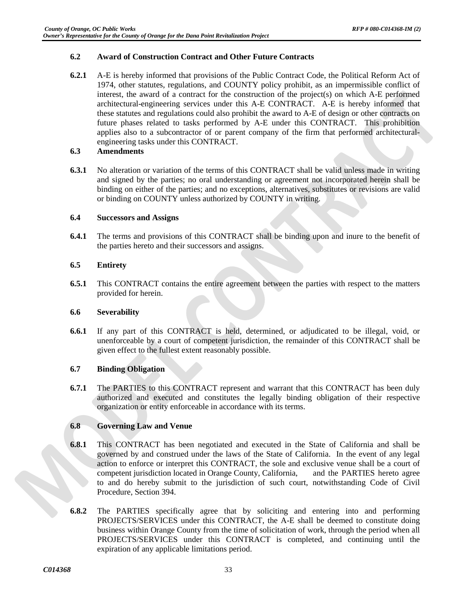#### **6.2 Award of Construction Contract and Other Future Contracts**

**6.2.1** A-E is hereby informed that provisions of the Public Contract Code, the Political Reform Act of 1974, other statutes, regulations, and COUNTY policy prohibit, as an impermissible conflict of interest, the award of a contract for the construction of the project(s) on which A-E performed architectural-engineering services under this A-E CONTRACT. A-E is hereby informed that these statutes and regulations could also prohibit the award to A-E of design or other contracts on future phases related to tasks performed by A-E under this CONTRACT. This prohibition applies also to a subcontractor of or parent company of the firm that performed architecturalengineering tasks under this CONTRACT.

#### **6.3 Amendments**

**6.3.1** No alteration or variation of the terms of this CONTRACT shall be valid unless made in writing and signed by the parties; no oral understanding or agreement not incorporated herein shall be binding on either of the parties; and no exceptions, alternatives, substitutes or revisions are valid or binding on COUNTY unless authorized by COUNTY in writing.

# **6.4 Successors and Assigns**

**6.4.1** The terms and provisions of this CONTRACT shall be binding upon and inure to the benefit of the parties hereto and their successors and assigns.

# **6.5 Entirety**

**6.5.1** This CONTRACT contains the entire agreement between the parties with respect to the matters provided for herein.

#### **6.6 Severability**

**6.6.1** If any part of this CONTRACT is held, determined, or adjudicated to be illegal, void, or unenforceable by a court of competent jurisdiction, the remainder of this CONTRACT shall be given effect to the fullest extent reasonably possible.

# **6.7 Binding Obligation**

**6.7.1** The PARTIES to this CONTRACT represent and warrant that this CONTRACT has been duly authorized and executed and constitutes the legally binding obligation of their respective organization or entity enforceable in accordance with its terms.

# **6.8 Governing Law and Venue**

- **6.8.1** This CONTRACT has been negotiated and executed in the State of California and shall be governed by and construed under the laws of the State of California. In the event of any legal action to enforce or interpret this CONTRACT, the sole and exclusive venue shall be a court of competent jurisdiction located in Orange County, California, and the PARTIES hereto agree to and do hereby submit to the jurisdiction of such court, notwithstanding Code of Civil Procedure, Section 394.
- **6.8.2** The PARTIES specifically agree that by soliciting and entering into and performing PROJECTS/SERVICES under this CONTRACT, the A-E shall be deemed to constitute doing business within Orange County from the time of solicitation of work, through the period when all PROJECTS/SERVICES under this CONTRACT is completed, and continuing until the expiration of any applicable limitations period.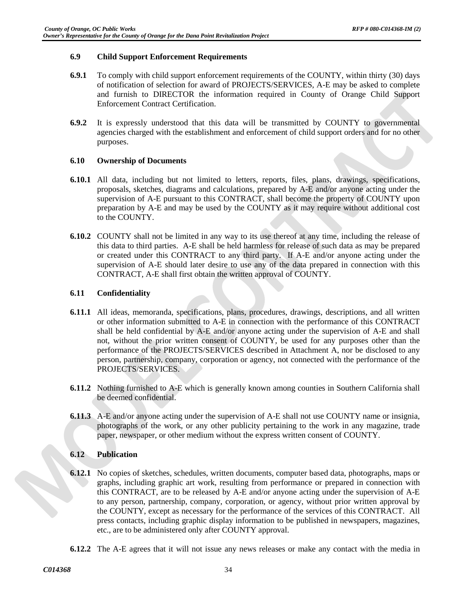#### **6.9 Child Support Enforcement Requirements**

- **6.9.1** To comply with child support enforcement requirements of the COUNTY, within thirty (30) days of notification of selection for award of PROJECTS/SERVICES, A-E may be asked to complete and furnish to DIRECTOR the information required in County of Orange Child Support Enforcement Contract Certification.
- **6.9.2** It is expressly understood that this data will be transmitted by COUNTY to governmental agencies charged with the establishment and enforcement of child support orders and for no other purposes.

#### **6.10 Ownership of Documents**

- **6.10.1** All data, including but not limited to letters, reports, files, plans, drawings, specifications, proposals, sketches, diagrams and calculations, prepared by A-E and/or anyone acting under the supervision of A-E pursuant to this CONTRACT, shall become the property of COUNTY upon preparation by A-E and may be used by the COUNTY as it may require without additional cost to the COUNTY.
- **6.10.2** COUNTY shall not be limited in any way to its use thereof at any time, including the release of this data to third parties. A-E shall be held harmless for release of such data as may be prepared or created under this CONTRACT to any third party. If A-E and/or anyone acting under the supervision of A-E should later desire to use any of the data prepared in connection with this CONTRACT, A-E shall first obtain the written approval of COUNTY.

#### **6.11 Confidentiality**

- **6.11.1** All ideas, memoranda, specifications, plans, procedures, drawings, descriptions, and all written or other information submitted to A-E in connection with the performance of this CONTRACT shall be held confidential by A-E and/or anyone acting under the supervision of A-E and shall not, without the prior written consent of COUNTY, be used for any purposes other than the performance of the PROJECTS/SERVICES described in Attachment A, nor be disclosed to any person, partnership, company, corporation or agency, not connected with the performance of the PROJECTS/SERVICES.
- **6.11.2** Nothing furnished to A-E which is generally known among counties in Southern California shall be deemed confidential.
- **6.11.3** A-E and/or anyone acting under the supervision of A-E shall not use COUNTY name or insignia, photographs of the work, or any other publicity pertaining to the work in any magazine, trade paper, newspaper, or other medium without the express written consent of COUNTY.

#### **6.12 Publication**

- **6.12.1** No copies of sketches, schedules, written documents, computer based data, photographs, maps or graphs, including graphic art work, resulting from performance or prepared in connection with this CONTRACT, are to be released by A-E and/or anyone acting under the supervision of A-E to any person, partnership, company, corporation, or agency, without prior written approval by the COUNTY, except as necessary for the performance of the services of this CONTRACT. All press contacts, including graphic display information to be published in newspapers, magazines, etc., are to be administered only after COUNTY approval.
- **6.12.2** The A-E agrees that it will not issue any news releases or make any contact with the media in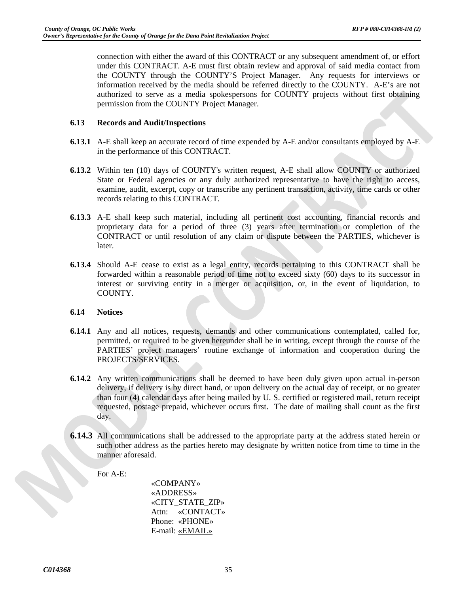connection with either the award of this CONTRACT or any subsequent amendment of, or effort under this CONTRACT. A-E must first obtain review and approval of said media contact from the COUNTY through the COUNTY'S Project Manager. Any requests for interviews or information received by the media should be referred directly to the COUNTY. A-E's are not authorized to serve as a media spokespersons for COUNTY projects without first obtaining permission from the COUNTY Project Manager.

#### **6.13 Records and Audit/Inspections**

- **6.13.1** A-E shall keep an accurate record of time expended by A-E and/or consultants employed by A-E in the performance of this CONTRACT.
- **6.13.2** Within ten (10) days of COUNTY's written request, A-E shall allow COUNTY or authorized State or Federal agencies or any duly authorized representative to have the right to access, examine, audit, excerpt, copy or transcribe any pertinent transaction, activity, time cards or other records relating to this CONTRACT.
- **6.13.3** A-E shall keep such material, including all pertinent cost accounting, financial records and proprietary data for a period of three (3) years after termination or completion of the CONTRACT or until resolution of any claim or dispute between the PARTIES, whichever is later.
- **6.13.4** Should A-E cease to exist as a legal entity, records pertaining to this CONTRACT shall be forwarded within a reasonable period of time not to exceed sixty (60) days to its successor in interest or surviving entity in a merger or acquisition, or, in the event of liquidation, to COUNTY.

#### **6.14 Notices**

- **6.14.1** Any and all notices, requests, demands and other communications contemplated, called for, permitted, or required to be given hereunder shall be in writing, except through the course of the PARTIES' project managers' routine exchange of information and cooperation during the PROJECTS/SERVICES.
- **6.14.2** Any written communications shall be deemed to have been duly given upon actual in-person delivery, if delivery is by direct hand, or upon delivery on the actual day of receipt, or no greater than four (4) calendar days after being mailed by U. S. certified or registered mail, return receipt requested, postage prepaid, whichever occurs first. The date of mailing shall count as the first day.
- **6.14.3** All communications shall be addressed to the appropriate party at the address stated herein or such other address as the parties hereto may designate by written notice from time to time in the manner aforesaid.

For A-E:

«COMPANY» «ADDRESS» «CITY\_STATE\_ZIP» Attn: «CONTACT» Phone: «PHONE» E-mail: «EMAIL»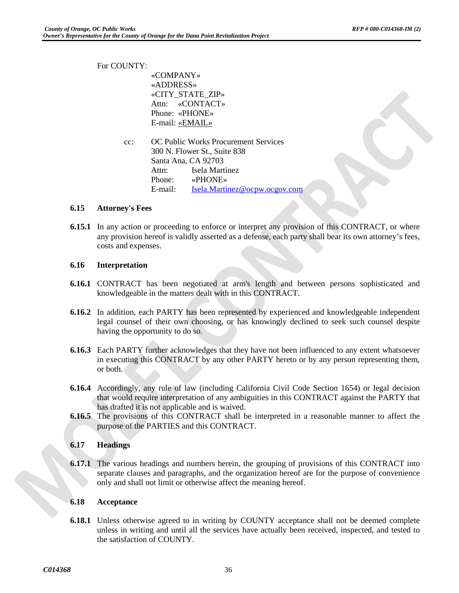For COUNTY: «COMPANY» «ADDRESS» «CITY\_STATE\_ZIP» Attn: «CONTACT» Phone: «PHONE» E-mail: «EMAIL» cc: OC Public Works Procurement Services 300 N. Flower St., Suite 838 Santa Ana, CA 92703 Attn: Isela Martinez Phone: «PHONE» E-mail: [Isela.Martinez@ocpw.ocgov.com](mailto:angela.shim@ocpw.ocgov.com)

# **6.15 Attorney's Fees**

**6.15.1** In any action or proceeding to enforce or interpret any provision of this CONTRACT, or where any provision hereof is validly asserted as a defense, each party shall bear its own attorney's fees, costs and expenses.

#### **6.16 Interpretation**

- **6.16.1** CONTRACT has been negotiated at arm's length and between persons sophisticated and knowledgeable in the matters dealt with in this CONTRACT.
- **6.16.2** In addition, each PARTY has been represented by experienced and knowledgeable independent legal counsel of their own choosing, or has knowingly declined to seek such counsel despite having the opportunity to do so.
- **6.16.3** Each PARTY further acknowledges that they have not been influenced to any extent whatsoever in executing this CONTRACT by any other PARTY hereto or by any person representing them, or both.
- **6.16.4** Accordingly, any rule of law (including California Civil Code Section 1654) or legal decision that would require interpretation of any ambiguities in this CONTRACT against the PARTY that has drafted it is not applicable and is waived.
- **6.16.5** The provisions of this CONTRACT shall be interpreted in a reasonable manner to affect the purpose of the PARTIES and this CONTRACT.

#### **6.17 Headings**

**6.17.1** The various headings and numbers herein, the grouping of provisions of this CONTRACT into separate clauses and paragraphs, and the organization hereof are for the purpose of convenience only and shall not limit or otherwise affect the meaning hereof.

#### **6.18 Acceptance**

**6.18.1** Unless otherwise agreed to in writing by COUNTY acceptance shall not be deemed complete unless in writing and until all the services have actually been received, inspected, and tested to the satisfaction of COUNTY.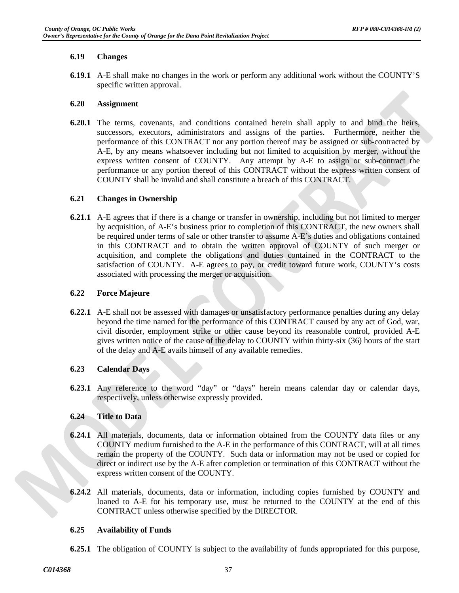#### **6.19 Changes**

**6.19.1** A-E shall make no changes in the work or perform any additional work without the COUNTY'S specific written approval.

#### **6.20 Assignment**

**6.20.1** The terms, covenants, and conditions contained herein shall apply to and bind the heirs, successors, executors, administrators and assigns of the parties. Furthermore, neither the performance of this CONTRACT nor any portion thereof may be assigned or sub-contracted by A-E, by any means whatsoever including but not limited to acquisition by merger, without the express written consent of COUNTY. Any attempt by A-E to assign or sub-contract the performance or any portion thereof of this CONTRACT without the express written consent of COUNTY shall be invalid and shall constitute a breach of this CONTRACT.

# **6.21 Changes in Ownership**

**6.21.1** A-E agrees that if there is a change or transfer in ownership, including but not limited to merger by acquisition, of A-E's business prior to completion of this CONTRACT, the new owners shall be required under terms of sale or other transfer to assume A-E's duties and obligations contained in this CONTRACT and to obtain the written approval of COUNTY of such merger or acquisition, and complete the obligations and duties contained in the CONTRACT to the satisfaction of COUNTY. A-E agrees to pay, or credit toward future work, COUNTY's costs associated with processing the merger or acquisition.

#### **6.22 Force Majeure**

**6.22.1** A-E shall not be assessed with damages or unsatisfactory performance penalties during any delay beyond the time named for the performance of this CONTRACT caused by any act of God, war, civil disorder, employment strike or other cause beyond its reasonable control, provided A-E gives written notice of the cause of the delay to COUNTY within thirty-six (36) hours of the start of the delay and A-E avails himself of any available remedies.

# **6.23 Calendar Days**

**6.23.1** Any reference to the word "day" or "days" herein means calendar day or calendar days, respectively, unless otherwise expressly provided.

# **6.24 Title to Data**

- **6.24.1** All materials, documents, data or information obtained from the COUNTY data files or any COUNTY medium furnished to the A-E in the performance of this CONTRACT, will at all times remain the property of the COUNTY. Such data or information may not be used or copied for direct or indirect use by the A-E after completion or termination of this CONTRACT without the express written consent of the COUNTY.
- **6.24.2** All materials, documents, data or information, including copies furnished by COUNTY and loaned to A-E for his temporary use, must be returned to the COUNTY at the end of this CONTRACT unless otherwise specified by the DIRECTOR.

#### **6.25 Availability of Funds**

**6.25.1** The obligation of COUNTY is subject to the availability of funds appropriated for this purpose,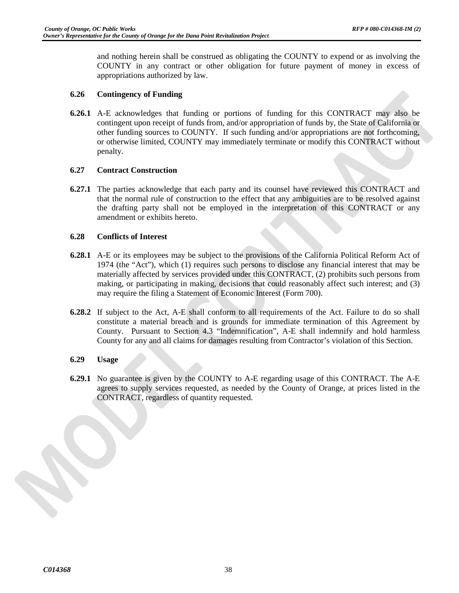and nothing herein shall be construed as obligating the COUNTY to expend or as involving the COUNTY in any contract or other obligation for future payment of money in excess of appropriations authorized by law.

#### **6.26 Contingency of Funding**

**6.26.1** A-E acknowledges that funding or portions of funding for this CONTRACT may also be contingent upon receipt of funds from, and/or appropriation of funds by, the State of California or other funding sources to COUNTY. If such funding and/or appropriations are not forthcoming, or otherwise limited, COUNTY may immediately terminate or modify this CONTRACT without penalty.

#### **6.27 Contract Construction**

**6.27.1** The parties acknowledge that each party and its counsel have reviewed this CONTRACT and that the normal rule of construction to the effect that any ambiguities are to be resolved against the drafting party shall not be employed in the interpretation of this CONTRACT or any amendment or exhibits hereto.

#### **6.28 Conflicts of Interest**

- **6.28.1** A-E or its employees may be subject to the provisions of the California Political Reform Act of 1974 (the "Act"), which (1) requires such persons to disclose any financial interest that may be materially affected by services provided under this CONTRACT, (2) prohibits such persons from making, or participating in making, decisions that could reasonably affect such interest; and (3) may require the filing a Statement of Economic Interest (Form 700).
- **6.28.2** If subject to the Act, A-E shall conform to all requirements of the Act. Failure to do so shall constitute a material breach and is grounds for immediate termination of this Agreement by County. Pursuant to Section 4.3 "Indemnification", A-E shall indemnify and hold harmless County for any and all claims for damages resulting from Contractor's violation of this Section.

#### **6.29 Usage**

**6.29.1** No guarantee is given by the COUNTY to A-E regarding usage of this CONTRACT. The A-E agrees to supply services requested, as needed by the County of Orange, at prices listed in the CONTRACT, regardless of quantity requested.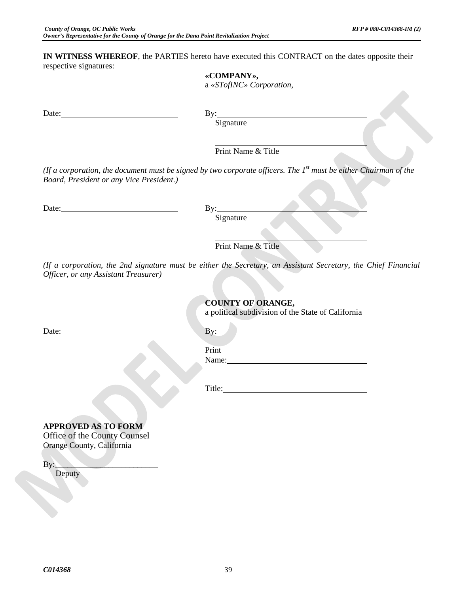**IN WITNESS WHEREOF**, the PARTIES hereto have executed this CONTRACT on the dates opposite their respective signatures:

|                                          | «COMPANY»,<br>a «STofINC» Corporation,                                                                             |
|------------------------------------------|--------------------------------------------------------------------------------------------------------------------|
|                                          |                                                                                                                    |
| Date:                                    | By: $\qquad \qquad$                                                                                                |
|                                          | Signature                                                                                                          |
|                                          | Print Name & Title                                                                                                 |
| Board, President or any Vice President.) | (If a corporation, the document must be signed by two corporate officers. The $Ist$ must be either Chairman of the |
|                                          | By:                                                                                                                |
|                                          | Signature                                                                                                          |
|                                          |                                                                                                                    |
|                                          | Print Name & Title                                                                                                 |
| Officer, or any Assistant Treasurer)     | (If a corporation, the 2nd signature must be either the Secretary, an Assistant Secretary, the Chief Financial     |
|                                          | <b>COUNTY OF ORANGE,</b><br>a political subdivision of the State of California                                     |
|                                          |                                                                                                                    |
|                                          | Print                                                                                                              |
|                                          | Name:                                                                                                              |
|                                          |                                                                                                                    |
|                                          | Title: The Commission of the Commission of the Commission of the Commission of the Commission of the Commission    |
|                                          |                                                                                                                    |
| <b>APPROVED AS TO FORM</b>               |                                                                                                                    |
| Office of the County Counsel             |                                                                                                                    |
| Orange County, California                |                                                                                                                    |
| $\mathbf{By:}\_$<br>Deputy               |                                                                                                                    |
|                                          |                                                                                                                    |
|                                          |                                                                                                                    |
|                                          |                                                                                                                    |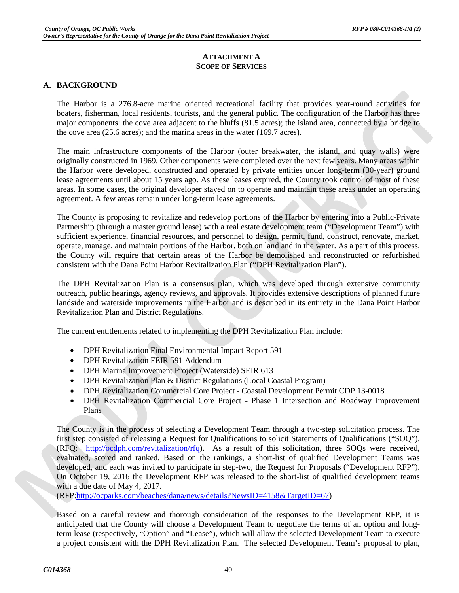#### **ATTACHMENT A SCOPE OF SERVICES**

# **A. BACKGROUND**

The Harbor is a 276.8-acre marine oriented recreational facility that provides year-round activities for boaters, fisherman, local residents, tourists, and the general public. The configuration of the Harbor has three major components: the cove area adjacent to the bluffs (81.5 acres); the island area, connected by a bridge to the cove area (25.6 acres); and the marina areas in the water (169.7 acres).

The main infrastructure components of the Harbor (outer breakwater, the island, and quay walls) were originally constructed in 1969. Other components were completed over the next few years. Many areas within the Harbor were developed, constructed and operated by private entities under long-term (30-year) ground lease agreements until about 15 years ago. As these leases expired, the County took control of most of these areas. In some cases, the original developer stayed on to operate and maintain these areas under an operating agreement. A few areas remain under long-term lease agreements.

The County is proposing to revitalize and redevelop portions of the Harbor by entering into a Public-Private Partnership (through a master ground lease) with a real estate development team ("Development Team") with sufficient experience, financial resources, and personnel to design, permit, fund, construct, renovate, market, operate, manage, and maintain portions of the Harbor, both on land and in the water. As a part of this process, the County will require that certain areas of the Harbor be demolished and reconstructed or refurbished consistent with the Dana Point Harbor Revitalization Plan ("DPH Revitalization Plan").

The DPH Revitalization Plan is a consensus plan, which was developed through extensive community outreach, public hearings, agency reviews, and approvals. It provides extensive descriptions of planned future landside and waterside improvements in the Harbor and is described in its entirety in the Dana Point Harbor Revitalization Plan and District Regulations.

The current entitlements related to implementing the DPH Revitalization Plan include:

- DPH Revitalization Final Environmental Impact Report 591
- DPH Revitalization FEIR 591 Addendum
- DPH Marina Improvement Project (Waterside) SEIR 613
- DPH Revitalization Plan & District Regulations (Local Coastal Program)
- DPH Revitalization Commercial Core Project Coastal Development Permit CDP 13-0018
- DPH Revitalization Commercial Core Project Phase 1 Intersection and Roadway Improvement Plans

The County is in the process of selecting a Development Team through a two-step solicitation process. The first step consisted of releasing a Request for Qualifications to solicit Statements of Qualifications ("SOQ"). (RFQ: [http://ocdph.com/revitalization/rfq\)](http://ocdph.com/revitalization/rfq). As a result of this solicitation, three SOQs were received, evaluated, scored and ranked. Based on the rankings, a short-list of qualified Development Teams was developed, and each was invited to participate in step-two, the Request for Proposals ("Development RFP"). On October 19, 2016 the Development RFP was released to the short-list of qualified development teams with a due date of May 4, 2017.

(RFP[:http://ocparks.com/beaches/dana/news/details?NewsID=4158&TargetID=67\)](http://ocparks.com/beaches/dana/news/details?NewsID=4158&TargetID=67)

Based on a careful review and thorough consideration of the responses to the Development RFP, it is anticipated that the County will choose a Development Team to negotiate the terms of an option and longterm lease (respectively, "Option" and "Lease"), which will allow the selected Development Team to execute a project consistent with the DPH Revitalization Plan. The selected Development Team's proposal to plan,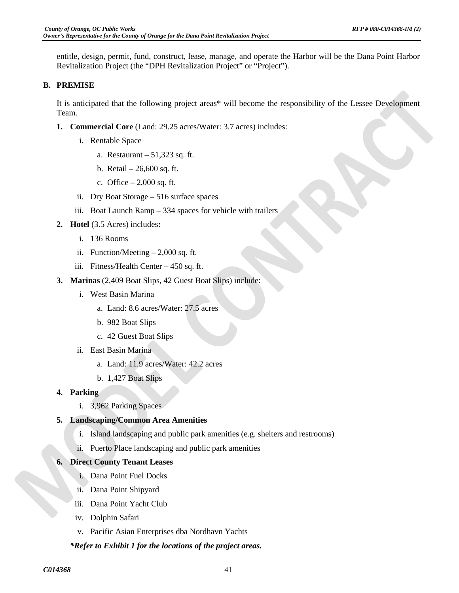entitle, design, permit, fund, construct, lease, manage, and operate the Harbor will be the Dana Point Harbor Revitalization Project (the "DPH Revitalization Project" or "Project").

# **B. PREMISE**

It is anticipated that the following project areas\* will become the responsibility of the Lessee Development Team.

- **1. Commercial Core** (Land: 29.25 acres/Water: 3.7 acres) includes:
	- i. Rentable Space
		- a. Restaurant 51,323 sq. ft.
		- b. Retail 26,600 sq. ft.
		- c. Office  $-2,000$  sq. ft.
	- ii. Dry Boat Storage 516 surface spaces
	- iii. Boat Launch Ramp 334 spaces for vehicle with trailers
- **2. Hotel** (3.5 Acres) includes**:** 
	- i. 136 Rooms
	- ii. Function/Meeting 2,000 sq. ft.
	- iii. Fitness/Health Center 450 sq. ft.
- **3. Marinas** (2,409 Boat Slips, 42 Guest Boat Slips) include:
	- i. West Basin Marina
		- a. Land: 8.6 acres/Water: 27.5 acres
		- b. 982 Boat Slips
		- c. 42 Guest Boat Slips
	- ii. East Basin Marina
		- a. Land: 11.9 acres/Water: 42.2 acres
		- b. 1,427 Boat Slips
- **4. Parking**
	- i. 3,962 Parking Spaces

# **5. Landscaping/Common Area Amenities**

- i. Island landscaping and public park amenities (e.g. shelters and restrooms)
- ii. Puerto Place landscaping and public park amenities

#### **6. Direct County Tenant Leases**

- i. Dana Point Fuel Docks
- ii. Dana Point Shipyard
- iii. Dana Point Yacht Club
- iv. Dolphin Safari
- v. Pacific Asian Enterprises dba Nordhavn Yachts

# *\*Refer to Exhibit 1 for the locations of the project areas.*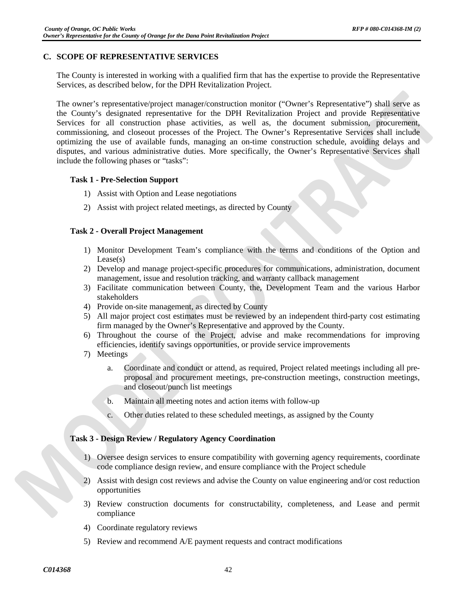# **C. SCOPE OF REPRESENTATIVE SERVICES**

The County is interested in working with a qualified firm that has the expertise to provide the Representative Services, as described below, for the DPH Revitalization Project.

The owner's representative/project manager/construction monitor ("Owner's Representative") shall serve as the County's designated representative for the DPH Revitalization Project and provide Representative Services for all construction phase activities, as well as, the document submission, procurement, commissioning, and closeout processes of the Project. The Owner's Representative Services shall include optimizing the use of available funds, managing an on-time construction schedule, avoiding delays and disputes, and various administrative duties. More specifically, the Owner's Representative Services shall include the following phases or "tasks":

#### **Task 1 - Pre-Selection Support**

- 1) Assist with Option and Lease negotiations
- 2) Assist with project related meetings, as directed by County

# **Task 2 - Overall Project Management**

- 1) Monitor Development Team's compliance with the terms and conditions of the Option and Lease(s)
- 2) Develop and manage project-specific procedures for communications, administration, document management, issue and resolution tracking, and warranty callback management
- 3) Facilitate communication between County, the, Development Team and the various Harbor stakeholders
- 4) Provide on-site management, as directed by County
- 5) All major project cost estimates must be reviewed by an independent third-party cost estimating firm managed by the Owner's Representative and approved by the County.
- 6) Throughout the course of the Project, advise and make recommendations for improving efficiencies, identify savings opportunities, or provide service improvements
- 7) Meetings
	- a. Coordinate and conduct or attend, as required, Project related meetings including all preproposal and procurement meetings, pre-construction meetings, construction meetings, and closeout/punch list meetings
	- b. Maintain all meeting notes and action items with follow-up
	- c. Other duties related to these scheduled meetings, as assigned by the County

#### **Task 3 - Design Review / Regulatory Agency Coordination**

- 1) Oversee design services to ensure compatibility with governing agency requirements, coordinate code compliance design review, and ensure compliance with the Project schedule
- 2) Assist with design cost reviews and advise the County on value engineering and/or cost reduction opportunities
- 3) Review construction documents for constructability, completeness, and Lease and permit compliance
- 4) Coordinate regulatory reviews
- 5) Review and recommend A/E payment requests and contract modifications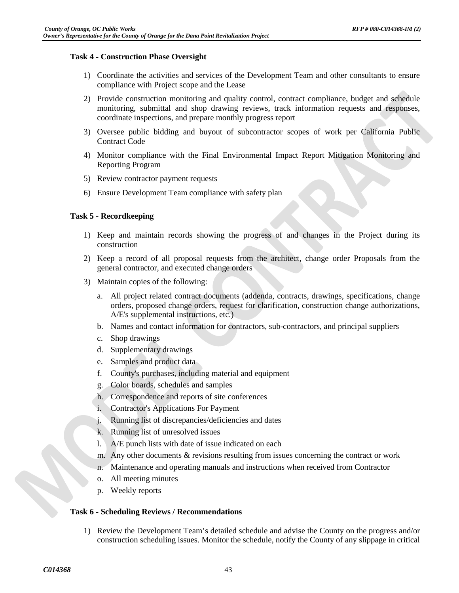#### **Task 4 - Construction Phase Oversight**

- 1) Coordinate the activities and services of the Development Team and other consultants to ensure compliance with Project scope and the Lease
- 2) Provide construction monitoring and quality control, contract compliance, budget and schedule monitoring, submittal and shop drawing reviews, track information requests and responses, coordinate inspections, and prepare monthly progress report
- 3) Oversee public bidding and buyout of subcontractor scopes of work per California Public Contract Code
- 4) Monitor compliance with the Final Environmental Impact Report Mitigation Monitoring and Reporting Program
- 5) Review contractor payment requests
- 6) Ensure Development Team compliance with safety plan

#### **Task 5 - Recordkeeping**

- 1) Keep and maintain records showing the progress of and changes in the Project during its construction
- 2) Keep a record of all proposal requests from the architect, change order Proposals from the general contractor, and executed change orders
- 3) Maintain copies of the following:
	- a. All project related contract documents (addenda, contracts, drawings, specifications, change orders, proposed change orders, request for clarification, construction change authorizations, A/E's supplemental instructions, etc.)
	- b. Names and contact information for contractors, sub-contractors, and principal suppliers
	- c. Shop drawings
	- d. Supplementary drawings
	- e. Samples and product data
	- f. County's purchases, including material and equipment
	- g. Color boards, schedules and samples
	- h. Correspondence and reports of site conferences
	- i. Contractor's Applications For Payment
	- j. Running list of discrepancies/deficiencies and dates
	- k. Running list of unresolved issues
	- l. A/E punch lists with date of issue indicated on each
	- m. Any other documents & revisions resulting from issues concerning the contract or work
	- n. Maintenance and operating manuals and instructions when received from Contractor
	- o. All meeting minutes
	- p. Weekly reports

#### **Task 6 - Scheduling Reviews / Recommendations**

1) Review the Development Team's detailed schedule and advise the County on the progress and/or construction scheduling issues. Monitor the schedule, notify the County of any slippage in critical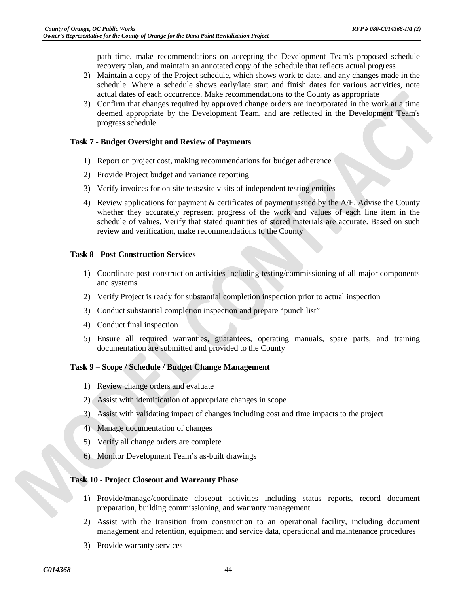path time, make recommendations on accepting the Development Team's proposed schedule recovery plan, and maintain an annotated copy of the schedule that reflects actual progress

- 2) Maintain a copy of the Project schedule, which shows work to date, and any changes made in the schedule. Where a schedule shows early/late start and finish dates for various activities, note actual dates of each occurrence. Make recommendations to the County as appropriate
- 3) Confirm that changes required by approved change orders are incorporated in the work at a time deemed appropriate by the Development Team, and are reflected in the Development Team's progress schedule

#### **Task 7 - Budget Oversight and Review of Payments**

- 1) Report on project cost, making recommendations for budget adherence
- 2) Provide Project budget and variance reporting
- 3) Verify invoices for on-site tests/site visits of independent testing entities
- 4) Review applications for payment & certificates of payment issued by the A/E. Advise the County whether they accurately represent progress of the work and values of each line item in the schedule of values. Verify that stated quantities of stored materials are accurate. Based on such review and verification, make recommendations to the County

#### **Task 8 - Post-Construction Services**

- 1) Coordinate post-construction activities including testing/commissioning of all major components and systems
- 2) Verify Project is ready for substantial completion inspection prior to actual inspection
- 3) Conduct substantial completion inspection and prepare "punch list"
- 4) Conduct final inspection
- 5) Ensure all required warranties, guarantees, operating manuals, spare parts, and training documentation are submitted and provided to the County

#### **Task 9 – Scope / Schedule / Budget Change Management**

- 1) Review change orders and evaluate
- 2) Assist with identification of appropriate changes in scope
- 3) Assist with validating impact of changes including cost and time impacts to the project
- 4) Manage documentation of changes
- 5) Verify all change orders are complete
- 6) Monitor Development Team's as‐built drawings

#### **Task 10 - Project Closeout and Warranty Phase**

- 1) Provide/manage/coordinate closeout activities including status reports, record document preparation, building commissioning, and warranty management
- 2) Assist with the transition from construction to an operational facility, including document management and retention, equipment and service data, operational and maintenance procedures
- 3) Provide warranty services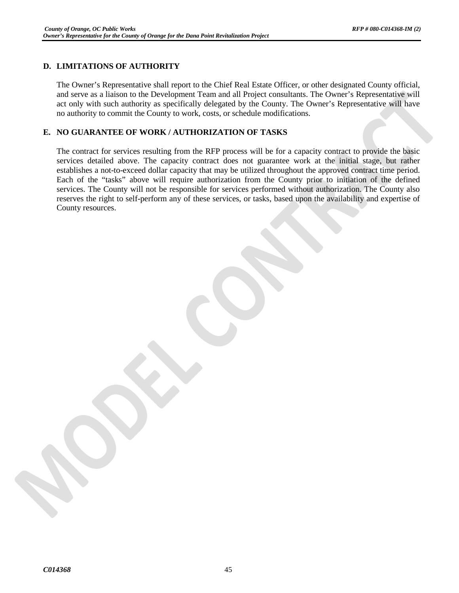# **D. LIMITATIONS OF AUTHORITY**

The Owner's Representative shall report to the Chief Real Estate Officer, or other designated County official, and serve as a liaison to the Development Team and all Project consultants. The Owner's Representative will act only with such authority as specifically delegated by the County. The Owner's Representative will have no authority to commit the County to work, costs, or schedule modifications.

# **E. NO GUARANTEE OF WORK / AUTHORIZATION OF TASKS**

The contract for services resulting from the RFP process will be for a capacity contract to provide the basic services detailed above. The capacity contract does not guarantee work at the initial stage, but rather establishes a not-to-exceed dollar capacity that may be utilized throughout the approved contract time period. Each of the "tasks" above will require authorization from the County prior to initiation of the defined services. The County will not be responsible for services performed without authorization. The County also reserves the right to self-perform any of these services, or tasks, based upon the availability and expertise of County resources.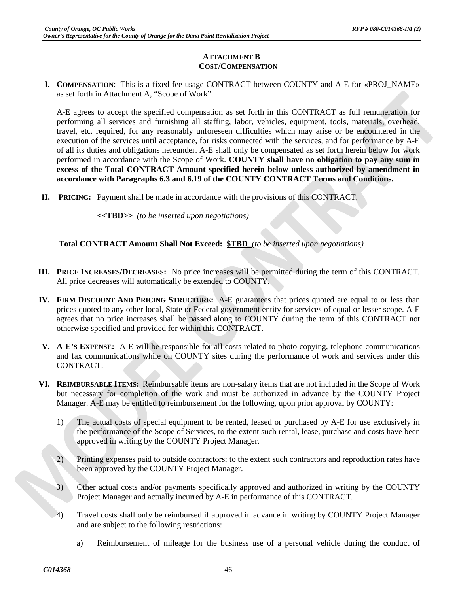# **ATTACHMENT B COST/COMPENSATION**

**I. COMPENSATION**: This is a fixed-fee usage CONTRACT between COUNTY and A-E for «PROJ\_NAME» as set forth in Attachment A, "Scope of Work".

A-E agrees to accept the specified compensation as set forth in this CONTRACT as full remuneration for performing all services and furnishing all staffing, labor, vehicles, equipment, tools, materials, overhead, travel, etc. required, for any reasonably unforeseen difficulties which may arise or be encountered in the execution of the services until acceptance, for risks connected with the services, and for performance by A-E of all its duties and obligations hereunder. A-E shall only be compensated as set forth herein below for work performed in accordance with the Scope of Work. **COUNTY shall have no obligation to pay any sum in excess of the Total CONTRACT Amount specified herein below unless authorized by amendment in accordance with Paragraphs 6.3 and 6.19 of the COUNTY CONTRACT Terms and Conditions.**

**II. PRICING:** Payment shall be made in accordance with the provisions of this CONTRACT.

**<<TBD>>** *(to be inserted upon negotiations)*

**Total CONTRACT Amount Shall Not Exceed: \$TBD** *(to be inserted upon negotiations)*

- **III. PRICE INCREASES/DECREASES:** No price increases will be permitted during the term of this CONTRACT. All price decreases will automatically be extended to COUNTY.
- **IV. FIRM DISCOUNT AND PRICING STRUCTURE:** A-E guarantees that prices quoted are equal to or less than prices quoted to any other local, State or Federal government entity for services of equal or lesser scope. A-E agrees that no price increases shall be passed along to COUNTY during the term of this CONTRACT not otherwise specified and provided for within this CONTRACT.
- **V. A-E'S EXPENSE:** A-E will be responsible for all costs related to photo copying, telephone communications and fax communications while on COUNTY sites during the performance of work and services under this CONTRACT.
- **VI. REIMBURSABLE ITEMS:** Reimbursable items are non-salary items that are not included in the Scope of Work but necessary for completion of the work and must be authorized in advance by the COUNTY Project Manager. A-E may be entitled to reimbursement for the following, upon prior approval by COUNTY:
	- 1) The actual costs of special equipment to be rented, leased or purchased by A-E for use exclusively in the performance of the Scope of Services, to the extent such rental, lease, purchase and costs have been approved in writing by the COUNTY Project Manager.
	- 2) Printing expenses paid to outside contractors; to the extent such contractors and reproduction rates have been approved by the COUNTY Project Manager.
	- 3) Other actual costs and/or payments specifically approved and authorized in writing by the COUNTY Project Manager and actually incurred by A-E in performance of this CONTRACT.
	- 4) Travel costs shall only be reimbursed if approved in advance in writing by COUNTY Project Manager and are subject to the following restrictions:
		- a) Reimbursement of mileage for the business use of a personal vehicle during the conduct of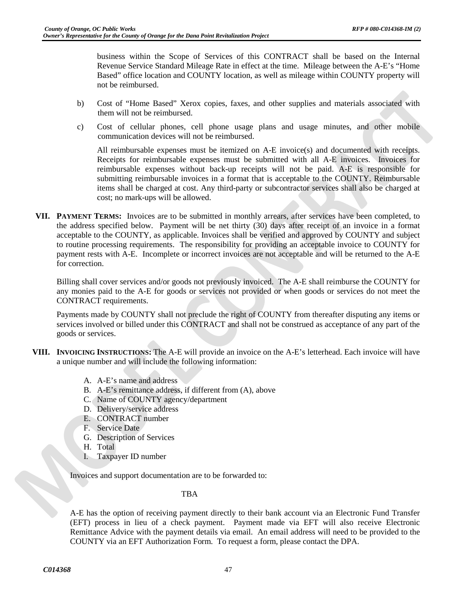business within the Scope of Services of this CONTRACT shall be based on the Internal Revenue Service Standard Mileage Rate in effect at the time. Mileage between the A-E's "Home Based" office location and COUNTY location, as well as mileage within COUNTY property will not be reimbursed.

- b) Cost of "Home Based" Xerox copies, faxes, and other supplies and materials associated with them will not be reimbursed.
- c) Cost of cellular phones, cell phone usage plans and usage minutes, and other mobile communication devices will not be reimbursed.

All reimbursable expenses must be itemized on A-E invoice(s) and documented with receipts. Receipts for reimbursable expenses must be submitted with all A-E invoices. Invoices for reimbursable expenses without back-up receipts will not be paid. A-E is responsible for submitting reimbursable invoices in a format that is acceptable to the COUNTY. Reimbursable items shall be charged at cost. Any third-party or subcontractor services shall also be charged at cost; no mark-ups will be allowed.

**VII. PAYMENT TERMS:** Invoices are to be submitted in monthly arrears, after services have been completed, to the address specified below. Payment will be net thirty (30) days after receipt of an invoice in a format acceptable to the COUNTY, as applicable. Invoices shall be verified and approved by COUNTY and subject to routine processing requirements. The responsibility for providing an acceptable invoice to COUNTY for payment rests with A-E. Incomplete or incorrect invoices are not acceptable and will be returned to the A-E for correction.

Billing shall cover services and/or goods not previously invoiced. The A-E shall reimburse the COUNTY for any monies paid to the A-E for goods or services not provided or when goods or services do not meet the CONTRACT requirements.

Payments made by COUNTY shall not preclude the right of COUNTY from thereafter disputing any items or services involved or billed under this CONTRACT and shall not be construed as acceptance of any part of the goods or services.

- **VIII. INVOICING INSTRUCTIONS:** The A-E will provide an invoice on the A-E's letterhead. Each invoice will have a unique number and will include the following information:
	- A. A-E's name and address
	- B. A-E's remittance address, if different from (A), above
	- C. Name of COUNTY agency/department
	- D. Delivery/service address
	- E. CONTRACT number
	- F. Service Date
	- G. Description of Services
	- H. Total
	- I. Taxpayer ID number

Invoices and support documentation are to be forwarded to:

TBA

A-E has the option of receiving payment directly to their bank account via an Electronic Fund Transfer (EFT) process in lieu of a check payment. Payment made via EFT will also receive Electronic Remittance Advice with the payment details via email. An email address will need to be provided to the COUNTY via an EFT Authorization Form. To request a form, please contact the DPA.